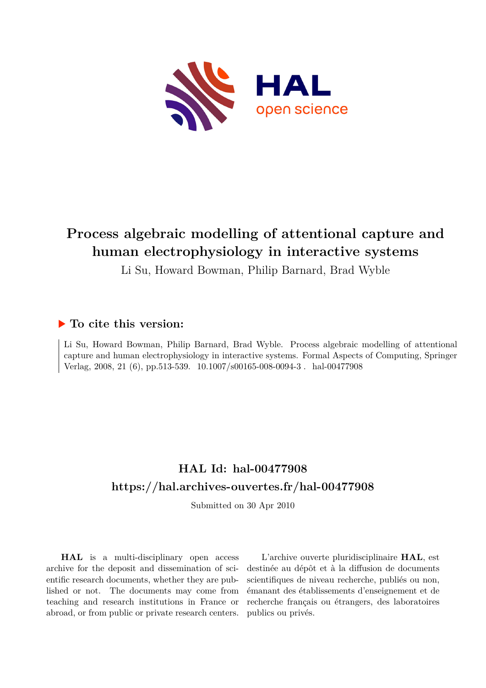

## **Process algebraic modelling of attentional capture and human electrophysiology in interactive systems**

Li Su, Howard Bowman, Philip Barnard, Brad Wyble

### **To cite this version:**

Li Su, Howard Bowman, Philip Barnard, Brad Wyble. Process algebraic modelling of attentional capture and human electrophysiology in interactive systems. Formal Aspects of Computing, Springer Verlag, 2008, 21 (6), pp.513-539.  $10.1007/s00165-008-0094-3$ . hal-00477908

## **HAL Id: hal-00477908 <https://hal.archives-ouvertes.fr/hal-00477908>**

Submitted on 30 Apr 2010

**HAL** is a multi-disciplinary open access archive for the deposit and dissemination of scientific research documents, whether they are published or not. The documents may come from teaching and research institutions in France or abroad, or from public or private research centers.

L'archive ouverte pluridisciplinaire **HAL**, est destinée au dépôt et à la diffusion de documents scientifiques de niveau recherche, publiés ou non, émanant des établissements d'enseignement et de recherche français ou étrangers, des laboratoires publics ou privés.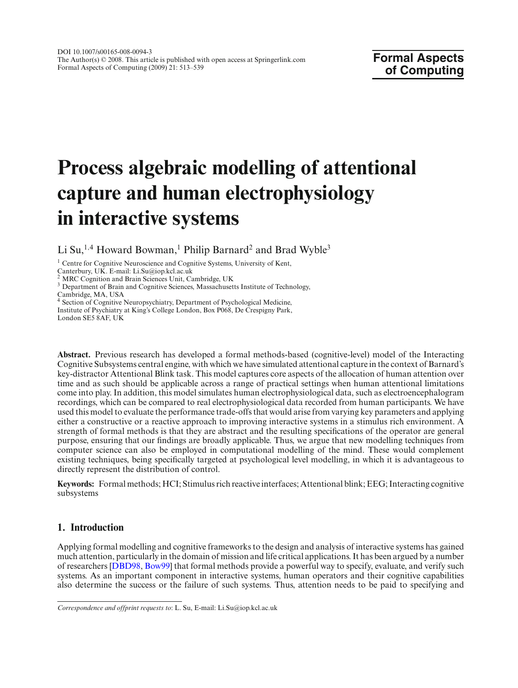# **Process algebraic modelling of attentional capture and human electrophysiology in interactive systems**

Li Su,<sup>1,4</sup> Howard Bowman,<sup>1</sup> Philip Barnard<sup>2</sup> and Brad Wyble<sup>3</sup>

<sup>1</sup> Centre for Cognitive Neuroscience and Cognitive Systems, University of Kent,

Canterbury, UK. E-mail: Li.Su@iop.kcl.ac.uk

<sup>3</sup> Department of Brain and Cognitive Sciences, Massachusetts Institute of Technology,

Cambridge, MA, USA

<sup>4</sup> Section of Cognitive Neuropsychiatry, Department of Psychological Medicine,

Institute of Psychiatry at King's College London, Box P068, De Crespigny Park, London SE5 8AF, UK

**Abstract.** Previous research has developed a formal methods-based (cognitive-level) model of the Interacting Cognitive Subsystems central engine, with which we have simulated attentional capture in the context of Barnard's key-distractor Attentional Blink task. This model captures core aspects of the allocation of human attention over time and as such should be applicable across a range of practical settings when human attentional limitations come into play. In addition, this model simulates human electrophysiological data, such as electroencephalogram recordings, which can be compared to real electrophysiological data recorded from human participants. We have used this model to evaluate the performance trade-offs that would arise from varying key parameters and applying either a constructive or a reactive approach to improving interactive systems in a stimulus rich environment. A strength of formal methods is that they are abstract and the resulting specifications of the operator are general purpose, ensuring that our findings are broadly applicable. Thus, we argue that new modelling techniques from computer science can also be employed in computational modelling of the mind. These would complement existing techniques, being specifically targeted at psychological level modelling, in which it is advantageous to directly represent the distribution of control.

**Keywords:** Formal methods; HCI; Stimulus rich reactive interfaces; Attentional blink; EEG; Interacting cognitive subsystems

#### **1. Introduction**

Applying formal modelling and cognitive frameworks to the design and analysis of interactive systems has gained much attention, particularly in the domain of mission and life critical applications. It has been argued by a number of researchers [DBD98, Bow99] that formal methods provide a powerful way to specify, evaluate, and verify such systems. As an important component in interactive systems, human operators and their cognitive capabilities also determine the success or the failure of such systems. Thus, attention needs to be paid to specifying and

<sup>&</sup>lt;sup>2</sup> MRC Cognition and Brain Sciences Unit, Cambridge, UK

*Correspondence and offprint requests to*: L. Su, E-mail: Li.Su@iop.kcl.ac.uk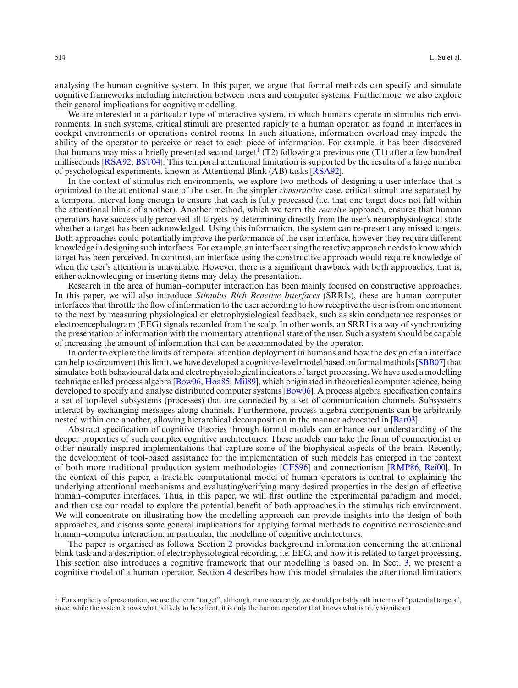analysing the human cognitive system. In this paper, we argue that formal methods can specify and simulate cognitive frameworks including interaction between users and computer systems. Furthermore, we also explore their general implications for cognitive modelling.

We are interested in a particular type of interactive system, in which humans operate in stimulus rich environments. In such systems, critical stimuli are presented rapidly to a human operator, as found in interfaces in cockpit environments or operations control rooms. In such situations, information overload may impede the ability of the operator to perceive or react to each piece of information. For example, it has been discovered that humans may miss a briefly presented second target<sup>1</sup> (T2) following a previous one (T1) after a few hundred milliseconds [RSA92, BST04]. This temporal attentional limitation is supported by the results of a large number of psychological experiments, known as Attentional Blink (AB) tasks [RSA92].

In the context of stimulus rich environments, we explore two methods of designing a user interface that is optimized to the attentional state of the user. In the simpler *constructive* case, critical stimuli are separated by a temporal interval long enough to ensure that each is fully processed (i.e. that one target does not fall within the attentional blink of another). Another method, which we term the *reactive* approach, ensures that human operators have successfully perceived all targets by determining directly from the user's neurophysiological state whether a target has been acknowledged. Using this information, the system can re-present any missed targets. Both approaches could potentially improve the performance of the user interface, however they require different knowledge in designing such interfaces. For example, an interface using the reactive approach needs to know which target has been perceived. In contrast, an interface using the constructive approach would require knowledge of when the user's attention is unavailable. However, there is a significant drawback with both approaches, that is, either acknowledging or inserting items may delay the presentation.

Research in the area of human–computer interaction has been mainly focused on constructive approaches. In this paper, we will also introduce *Stimulus Rich Reactive Interfaces* (SRRIs), these are human–computer interfaces that throttle the flow of information to the user according to how receptive the user is from one moment to the next by measuring physiological or eletrophysiological feedback, such as skin conductance responses or electroencephalogram (EEG) signals recorded from the scalp. In other words, an SRRI is a way of synchronizing the presentation of information with the momentary attentional state of the user. Such a system should be capable of increasing the amount of information that can be accommodated by the operator.

In order to explore the limits of temporal attention deployment in humans and how the design of an interface can help to circumvent this limit, we have developed a cognitive-level model based on formal methods [SBB07] that simulates both behavioural data and electrophysiological indicators of target processing. We have used a modelling technique called process algebra [Bow06, Hoa85, Mil89], which originated in theoretical computer science, being developed to specify and analyse distributed computer systems [Bow06]. A process algebra specification contains a set of top-level subsystems (processes) that are connected by a set of communication channels. Subsystems interact by exchanging messages along channels. Furthermore, process algebra components can be arbitrarily nested within one another, allowing hierarchical decomposition in the manner advocated in [Bar03].

Abstract specification of cognitive theories through formal models can enhance our understanding of the deeper properties of such complex cognitive architectures. These models can take the form of connectionist or other neurally inspired implementations that capture some of the biophysical aspects of the brain. Recently, the development of tool-based assistance for the implementation of such models has emerged in the context of both more traditional production system methodologies [CFS96] and connectionism [RMP86, Rei00]. In the context of this paper, a tractable computational model of human operators is central to explaining the underlying attentional mechanisms and evaluating/verifying many desired properties in the design of effective human–computer interfaces. Thus, in this paper, we will first outline the experimental paradigm and model, and then use our model to explore the potential benefit of both approaches in the stimulus rich environment. We will concentrate on illustrating how the modelling approach can provide insights into the design of both approaches, and discuss some general implications for applying formal methods to cognitive neuroscience and human–computer interaction, in particular, the modelling of cognitive architectures.

The paper is organised as follows. Section 2 provides background information concerning the attentional blink task and a description of electrophysiological recording, i.e. EEG, and how it is related to target processing. This section also introduces a cognitive framework that our modelling is based on. In Sect. 3, we present a cognitive model of a human operator. Section 4 describes how this model simulates the attentional limitations

<sup>&</sup>lt;sup>1</sup> For simplicity of presentation, we use the term "target", although, more accurately, we should probably talk in terms of "potential targets", since, while the system knows what is likely to be salient, it is only the human operator that knows what is truly significant.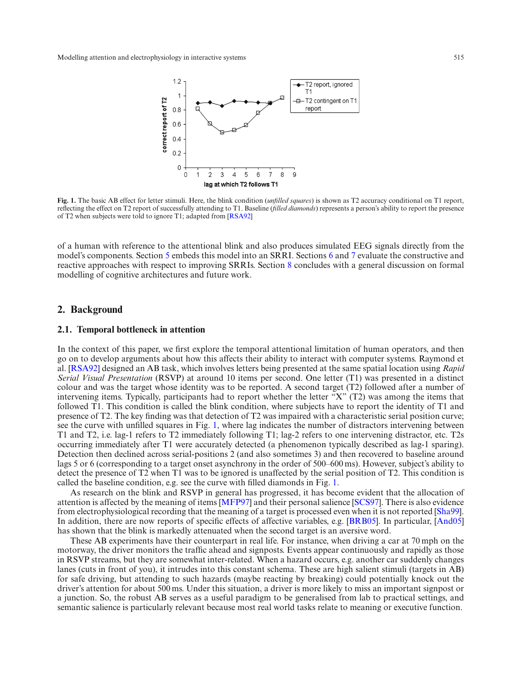Modelling attention and electrophysiology in interactive systems 515



**Fig. 1.** The basic AB effect for letter stimuli. Here, the blink condition (*unfilled squares*) is shown as T2 accuracy conditional on T1 report, reflecting the effect on T2 report of successfully attending to T1. Baseline (*filled diamonds*) represents a person's ability to report the presence of T2 when subjects were told to ignore T1; adapted from [RSA92]

of a human with reference to the attentional blink and also produces simulated EEG signals directly from the model's components. Section 5 embeds this model into an SRRI. Sections 6 and 7 evaluate the constructive and reactive approaches with respect to improving SRRIs. Section 8 concludes with a general discussion on formal modelling of cognitive architectures and future work.

#### **2. Background**

#### **2.1. Temporal bottleneck in attention**

In the context of this paper, we first explore the temporal attentional limitation of human operators, and then go on to develop arguments about how this affects their ability to interact with computer systems. Raymond et al. [RSA92] designed an AB task, which involves letters being presented at the same spatial location using *Rapid Serial Visual Presentation* (RSVP) at around 10 items per second. One letter (T1) was presented in a distinct colour and was the target whose identity was to be reported. A second target (T2) followed after a number of intervening items. Typically, participants had to report whether the letter "X" (T2) was among the items that followed T1. This condition is called the blink condition, where subjects have to report the identity of T1 and presence of T2. The key finding was that detection of T2 was impaired with a characteristic serial position curve; see the curve with unfilled squares in Fig. 1, where lag indicates the number of distractors intervening between T1 and T2, i.e. lag-1 refers to T2 immediately following T1; lag-2 refers to one intervening distractor, etc. T2s occurring immediately after T1 were accurately detected (a phenomenon typically described as lag-1 sparing). Detection then declined across serial-positions 2 (and also sometimes 3) and then recovered to baseline around lags 5 or 6 (corresponding to a target onset asynchrony in the order of 500–600 ms). However, subject's ability to detect the presence of T2 when T1 was to be ignored is unaffected by the serial position of T2. This condition is called the baseline condition, e.g. see the curve with filled diamonds in Fig. 1.

As research on the blink and RSVP in general has progressed, it has become evident that the allocation of attention is affected by the meaning of items [MFP97] and their personal salience [SCS97]. There is also evidence from electrophysiological recording that the meaning of a target is processed even when it is not reported [Sha99]. In addition, there are now reports of specific effects of affective variables, e.g. [BRB05]. In particular, [And05] has shown that the blink is markedly attenuated when the second target is an aversive word.

These AB experiments have their counterpart in real life. For instance, when driving a car at 70 mph on the motorway, the driver monitors the traffic ahead and signposts. Events appear continuously and rapidly as those in RSVP streams, but they are somewhat inter-related. When a hazard occurs, e.g. another car suddenly changes lanes (cuts in front of you), it intrudes into this constant schema. These are high salient stimuli (targets in AB) for safe driving, but attending to such hazards (maybe reacting by breaking) could potentially knock out the driver's attention for about 500 ms. Under this situation, a driver is more likely to miss an important signpost or a junction. So, the robust AB serves as a useful paradigm to be generalised from lab to practical settings, and semantic salience is particularly relevant because most real world tasks relate to meaning or executive function.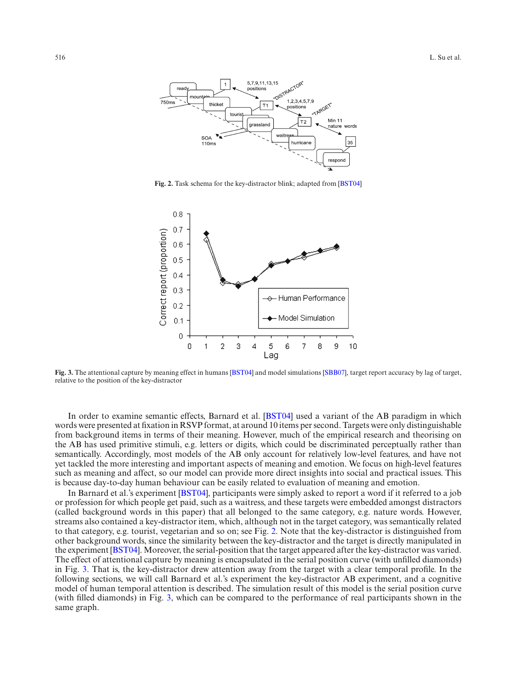

**Fig. 2.** Task schema for the key-distractor blink; adapted from [BST04]



**Fig. 3.** The attentional capture by meaning effect in humans [BST04] and model simulations [SBB07], target report accuracy by lag of target, relative to the position of the key-distractor

In order to examine semantic effects, Barnard et al. [BST04] used a variant of the AB paradigm in which words were presented at fixation in RSVP format, at around 10 items per second. Targets were only distinguishable from background items in terms of their meaning. However, much of the empirical research and theorising on the AB has used primitive stimuli, e.g. letters or digits, which could be discriminated perceptually rather than semantically. Accordingly, most models of the AB only account for relatively low-level features, and have not yet tackled the more interesting and important aspects of meaning and emotion. We focus on high-level features such as meaning and affect, so our model can provide more direct insights into social and practical issues. This is because day-to-day human behaviour can be easily related to evaluation of meaning and emotion.

In Barnard et al.'s experiment [BST04], participants were simply asked to report a word if it referred to a job or profession for which people get paid, such as a waitress, and these targets were embedded amongst distractors (called background words in this paper) that all belonged to the same category, e.g. nature words. However, streams also contained a key-distractor item, which, although not in the target category, was semantically related to that category, e.g. tourist, vegetarian and so on; see Fig. 2. Note that the key-distractor is distinguished from other background words, since the similarity between the key-distractor and the target is directly manipulated in the experiment [BST04]. Moreover, the serial-position that the target appeared after the key-distractor was varied. The effect of attentional capture by meaning is encapsulated in the serial position curve (with unfilled diamonds) in Fig. 3. That is, the key-distractor drew attention away from the target with a clear temporal profile. In the following sections, we will call Barnard et al.'s experiment the key-distractor AB experiment, and a cognitive model of human temporal attention is described. The simulation result of this model is the serial position curve (with filled diamonds) in Fig. 3, which can be compared to the performance of real participants shown in the same graph.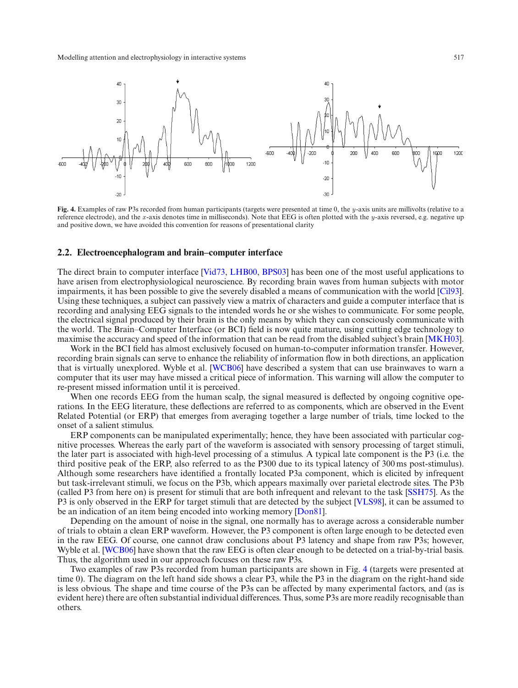

**Fig. 4.** Examples of raw P3s recorded from human participants (targets were presented at time 0, the *y*-axis units are millivolts (relative to a reference electrode), and the *x*-axis denotes time in milliseconds). Note that EEG is often plotted with the *y*-axis reversed, e.g. negative up and positive down, we have avoided this convention for reasons of presentational clarity

#### **2.2. Electroencephalogram and brain–computer interface**

The direct brain to computer interface [Vid73, LHB00, BPS03] has been one of the most useful applications to have arisen from electrophysiological neuroscience. By recording brain waves from human subjects with motor impairments, it has been possible to give the severely disabled a means of communication with the world [Cil93]. Using these techniques, a subject can passively view a matrix of characters and guide a computer interface that is recording and analysing EEG signals to the intended words he or she wishes to communicate. For some people, the electrical signal produced by their brain is the only means by which they can consciously communicate with the world. The Brain–Computer Interface (or BCI) field is now quite mature, using cutting edge technology to maximise the accuracy and speed of the information that can be read from the disabled subject's brain [MKH03].

Work in the BCI field has almost exclusively focused on human-to-computer information transfer. However, recording brain signals can serve to enhance the reliability of information flow in both directions, an application that is virtually unexplored. Wyble et al. [WCB06] have described a system that can use brainwaves to warn a computer that its user may have missed a critical piece of information. This warning will allow the computer to re-present missed information until it is perceived.

When one records EEG from the human scalp, the signal measured is deflected by ongoing cognitive operations. In the EEG literature, these deflections are referred to as components, which are observed in the Event Related Potential (or ERP) that emerges from averaging together a large number of trials, time locked to the onset of a salient stimulus.

ERP components can be manipulated experimentally; hence, they have been associated with particular cognitive processes. Whereas the early part of the waveform is associated with sensory processing of target stimuli, the later part is associated with high-level processing of a stimulus. A typical late component is the P3 (i.e. the third positive peak of the ERP, also referred to as the P300 due to its typical latency of 300 ms post-stimulus). Although some researchers have identified a frontally located P3a component, which is elicited by infrequent but task-irrelevant stimuli, we focus on the P3b, which appears maximally over parietal electrode sites. The P3b (called P3 from here on) is present for stimuli that are both infrequent and relevant to the task [SSH75]. As the P3 is only observed in the ERP for target stimuli that are detected by the subject [VLS98], it can be assumed to be an indication of an item being encoded into working memory [Don81].

Depending on the amount of noise in the signal, one normally has to average across a considerable number of trials to obtain a clean ERP waveform. However, the P3 component is often large enough to be detected even in the raw EEG. Of course, one cannot draw conclusions about P3 latency and shape from raw P3s; however, Wyble et al. [WCB06] have shown that the raw EEG is often clear enough to be detected on a trial-by-trial basis. Thus, the algorithm used in our approach focuses on these raw P3s.

Two examples of raw P3s recorded from human participants are shown in Fig. 4 (targets were presented at time 0). The diagram on the left hand side shows a clear P3, while the P3 in the diagram on the right-hand side is less obvious. The shape and time course of the P3s can be affected by many experimental factors, and (as is evident here) there are often substantial individual differences. Thus, some P3s are more readily recognisable than others.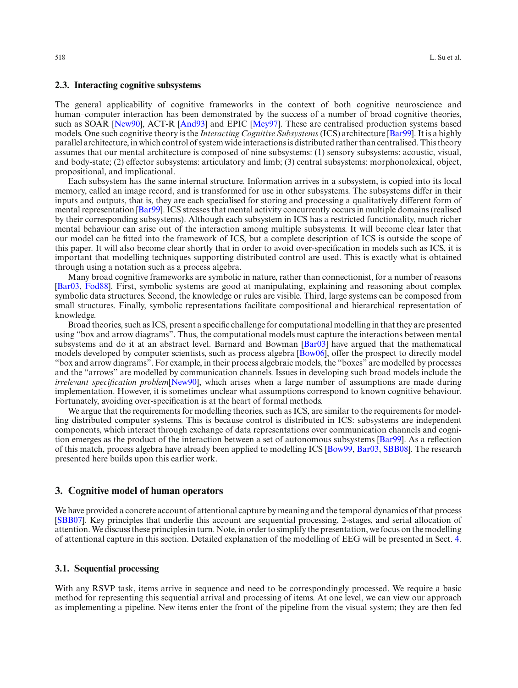#### **2.3. Interacting cognitive subsystems**

The general applicability of cognitive frameworks in the context of both cognitive neuroscience and human–computer interaction has been demonstrated by the success of a number of broad cognitive theories, such as SOAR [New90], ACT-R [And93] and EPIC [Mey97]. These are centralised production systems based models. One such cognitive theory is the *Interacting Cognitive Subsystems* (ICS) architecture [Bar99]. It is a highly parallel architecture, in which control of system wide interactions is distributed rather than centralised. This theory assumes that our mental architecture is composed of nine subsystems: (1) sensory subsystems: acoustic, visual, and body-state; (2) effector subsystems: articulatory and limb; (3) central subsystems: morphonolexical, object, propositional, and implicational.

Each subsystem has the same internal structure. Information arrives in a subsystem, is copied into its local memory, called an image record, and is transformed for use in other subsystems. The subsystems differ in their inputs and outputs, that is, they are each specialised for storing and processing a qualitatively different form of mental representation [Bar99]. ICS stresses that mental activity concurrently occurs in multiple domains (realised by their corresponding subsystems). Although each subsystem in ICS has a restricted functionality, much richer mental behaviour can arise out of the interaction among multiple subsystems. It will become clear later that our model can be fitted into the framework of ICS, but a complete description of ICS is outside the scope of this paper. It will also become clear shortly that in order to avoid over-specification in models such as ICS, it is important that modelling techniques supporting distributed control are used. This is exactly what is obtained through using a notation such as a process algebra.

Many broad cognitive frameworks are symbolic in nature, rather than connectionist, for a number of reasons [Bar03, Fod88]. First, symbolic systems are good at manipulating, explaining and reasoning about complex symbolic data structures. Second, the knowledge or rules are visible. Third, large systems can be composed from small structures. Finally, symbolic representations facilitate compositional and hierarchical representation of knowledge.

Broad theories, such as ICS, present a specific challenge for computational modelling in that they are presented using "box and arrow diagrams". Thus, the computational models must capture the interactions between mental subsystems and do it at an abstract level. Barnard and Bowman [Bar03] have argued that the mathematical models developed by computer scientists, such as process algebra [Bow06], offer the prospect to directly model "box and arrow diagrams". For example, in their process algebraic models, the "boxes" are modelled by processes and the "arrows" are modelled by communication channels. Issues in developing such broad models include the *irrelevant specification problem*[New90], which arises when a large number of assumptions are made during implementation. However, it is sometimes unclear what assumptions correspond to known cognitive behaviour. Fortunately, avoiding over-specification is at the heart of formal methods.

We argue that the requirements for modelling theories, such as ICS, are similar to the requirements for modelling distributed computer systems. This is because control is distributed in ICS: subsystems are independent components, which interact through exchange of data representations over communication channels and cognition emerges as the product of the interaction between a set of autonomous subsystems [Bar99]. As a reflection of this match, process algebra have already been applied to modelling ICS [Bow99, Bar03, SBB08]. The research presented here builds upon this earlier work.

#### **3. Cognitive model of human operators**

We have provided a concrete account of attentional capture by meaning and the temporal dynamics of that process [SBB07]. Key principles that underlie this account are sequential processing, 2-stages, and serial allocation of attention.We discuss these principles in turn. Note, in order to simplify the presentation, we focus on the modelling of attentional capture in this section. Detailed explanation of the modelling of EEG will be presented in Sect. 4.

#### **3.1. Sequential processing**

With any RSVP task, items arrive in sequence and need to be correspondingly processed. We require a basic method for representing this sequential arrival and processing of items. At one level, we can view our approach as implementing a pipeline. New items enter the front of the pipeline from the visual system; they are then fed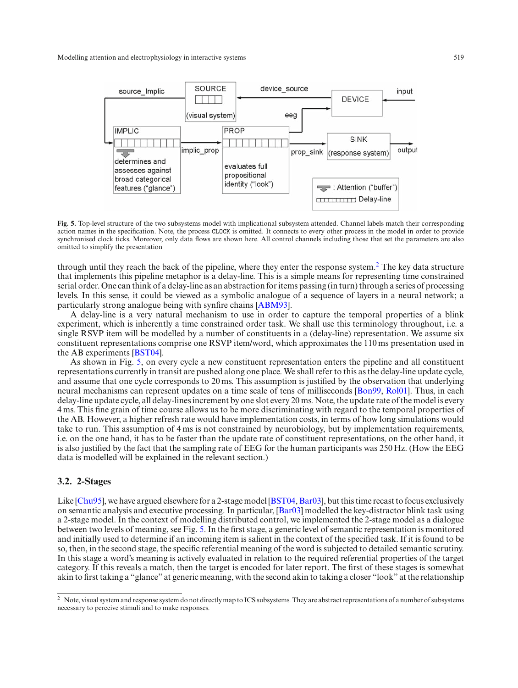

**Fig. 5.** Top-level structure of the two subsystems model with implicational subsystem attended. Channel labels match their corresponding action names in the specification. Note, the process CLOCK is omitted. It connects to every other process in the model in order to provide synchronised clock ticks. Moreover, only data flows are shown here. All control channels including those that set the parameters are also omitted to simplify the presentation

through until they reach the back of the pipeline, where they enter the response system.<sup>2</sup> The key data structure that implements this pipeline metaphor is a delay-line. This is a simple means for representing time constrained serial order. One can think of a delay-line as an abstraction for items passing (in turn) through a series of processing levels. In this sense, it could be viewed as a symbolic analogue of a sequence of layers in a neural network; a particularly strong analogue being with synfire chains [ABM93].

A delay-line is a very natural mechanism to use in order to capture the temporal properties of a blink experiment, which is inherently a time constrained order task. We shall use this terminology throughout, i.e. a single RSVP item will be modelled by a number of constituents in a (delay-line) representation. We assume six constituent representations comprise one RSVP item/word, which approximates the 110 ms presentation used in the AB experiments [BST04].

As shown in Fig. 5, on every cycle a new constituent representation enters the pipeline and all constituent representations currently in transit are pushed along one place. We shall refer to this as the delay-line update cycle, and assume that one cycle corresponds to 20 ms. This assumption is justified by the observation that underlying neural mechanisms can represent updates on a time scale of tens of milliseconds [Bon99, Rol01]. Thus, in each delay-line update cycle, all delay-lines increment by one slot every 20 ms. Note, the update rate of the model is every 4 ms. This fine grain of time course allows us to be more discriminating with regard to the temporal properties of the AB. However, a higher refresh rate would have implementation costs, in terms of how long simulations would take to run. This assumption of 4 ms is not constrained by neurobiology, but by implementation requirements, i.e. on the one hand, it has to be faster than the update rate of constituent representations, on the other hand, it is also justified by the fact that the sampling rate of EEG for the human participants was 250 Hz. (How the EEG data is modelled will be explained in the relevant section.)

#### **3.2. 2-Stages**

Like [Chu95], we have argued elsewhere for a 2-stage model [BST04, Bar03], but this time recast to focus exclusively on semantic analysis and executive processing. In particular, [Bar03] modelled the key-distractor blink task using a 2-stage model. In the context of modelling distributed control, we implemented the 2-stage model as a dialogue between two levels of meaning, see Fig. 5. In the first stage, a generic level of semantic representation is monitored and initially used to determine if an incoming item is salient in the context of the specified task. If it is found to be so, then, in the second stage, the specific referential meaning of the word is subjected to detailed semantic scrutiny. In this stage a word's meaning is actively evaluated in relation to the required referential properties of the target category. If this reveals a match, then the target is encoded for later report. The first of these stages is somewhat akin to first taking a "glance" at generic meaning, with the second akin to taking a closer "look" at the relationship

<sup>&</sup>lt;sup>2</sup> Note, visual system and response system do not directly map to ICS subsystems. They are abstract representations of a number of subsystems necessary to perceive stimuli and to make responses.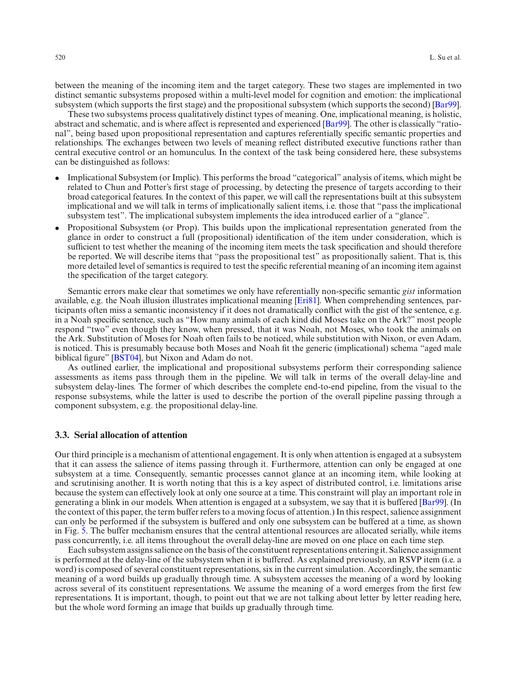between the meaning of the incoming item and the target category. These two stages are implemented in two distinct semantic subsystems proposed within a multi-level model for cognition and emotion: the implicational subsystem (which supports the first stage) and the propositional subsystem (which supports the second) [Bar99].

These two subsystems process qualitatively distinct types of meaning. One, implicational meaning, is holistic, abstract and schematic, and is where affect is represented and experienced [Bar99]. The other is classically "rational", being based upon propositional representation and captures referentially specific semantic properties and relationships. The exchanges between two levels of meaning reflect distributed executive functions rather than central executive control or an homunculus. In the context of the task being considered here, these subsystems can be distinguished as follows:

- Implicational Subsystem (or Implic). This performs the broad "categorical" analysis of items, which might be related to Chun and Potter's first stage of processing, by detecting the presence of targets according to their broad categorical features. In the context of this paper, we will call the representations built at this subsystem implicational and we will talk in terms of implicationally salient items, i.e. those that "pass the implicational subsystem test". The implicational subsystem implements the idea introduced earlier of a "glance".
- Propositional Subsystem (or Prop). This builds upon the implicational representation generated from the glance in order to construct a full (propositional) identification of the item under consideration, which is sufficient to test whether the meaning of the incoming item meets the task specification and should therefore be reported. We will describe items that "pass the propositional test" as propositionally salient. That is, this more detailed level of semantics is required to test the specific referential meaning of an incoming item against the specification of the target category.

Semantic errors make clear that sometimes we only have referentially non-specific semantic *gist* information available, e.g. the Noah illusion illustrates implicational meaning [Eri81]. When comprehending sentences, participants often miss a semantic inconsistency if it does not dramatically conflict with the gist of the sentence, e.g. in a Noah specific sentence, such as "How many animals of each kind did Moses take on the Ark?" most people respond "two" even though they know, when pressed, that it was Noah, not Moses, who took the animals on the Ark. Substitution of Moses for Noah often fails to be noticed, while substitution with Nixon, or even Adam, is noticed. This is presumably because both Moses and Noah fit the generic (implicational) schema "aged male biblical figure" [BST04], but Nixon and Adam do not.

As outlined earlier, the implicational and propositional subsystems perform their corresponding salience assessments as items pass through them in the pipeline. We will talk in terms of the overall delay-line and subsystem delay-lines. The former of which describes the complete end-to-end pipeline, from the visual to the response subsystems, while the latter is used to describe the portion of the overall pipeline passing through a component subsystem, e.g. the propositional delay-line.

#### **3.3. Serial allocation of attention**

Our third principle is a mechanism of attentional engagement. It is only when attention is engaged at a subsystem that it can assess the salience of items passing through it. Furthermore, attention can only be engaged at one subsystem at a time. Consequently, semantic processes cannot glance at an incoming item, while looking at and scrutinising another. It is worth noting that this is a key aspect of distributed control, i.e. limitations arise because the system can effectively look at only one source at a time. This constraint will play an important role in generating a blink in our models. When attention is engaged at a subsystem, we say that it is buffered [Bar99]. (In the context of this paper, the term buffer refers to a moving focus of attention.) In this respect, salience assignment can only be performed if the subsystem is buffered and only one subsystem can be buffered at a time, as shown in Fig. 5. The buffer mechanism ensures that the central attentional resources are allocated serially, while items pass concurrently, i.e. all items throughout the overall delay-line are moved on one place on each time step.

Each subsystem assigns salience on the basis of the constituent representations entering it. Salience assignment is performed at the delay-line of the subsystem when it is buffered. As explained previously, an RSVP item (i.e. a word) is composed of several constituent representations, six in the current simulation. Accordingly, the semantic meaning of a word builds up gradually through time. A subsystem accesses the meaning of a word by looking across several of its constituent representations. We assume the meaning of a word emerges from the first few representations. It is important, though, to point out that we are not talking about letter by letter reading here, but the whole word forming an image that builds up gradually through time.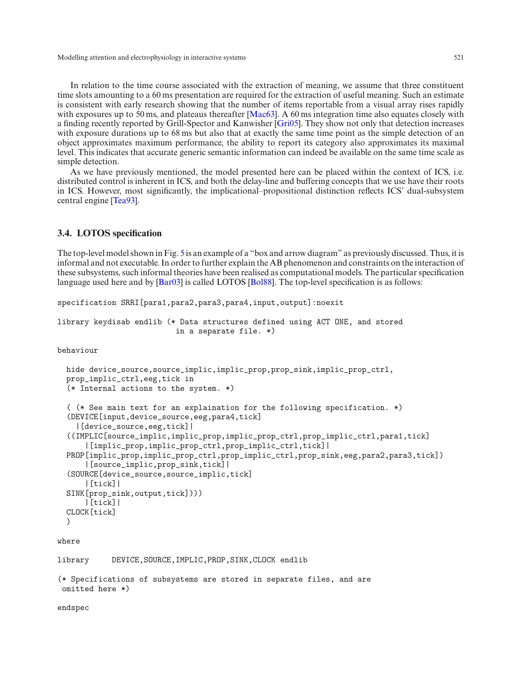Modelling attention and electrophysiology in interactive systems 521

In relation to the time course associated with the extraction of meaning, we assume that three constituent time slots amounting to a 60 ms presentation are required for the extraction of useful meaning. Such an estimate is consistent with early research showing that the number of items reportable from a visual array rises rapidly with exposures up to 50 ms, and plateaus thereafter [Mac63]. A 60 ms integration time also equates closely with a finding recently reported by Grill-Spector and Kanwisher [Gri05]. They show not only that detection increases with exposure durations up to 68 ms but also that at exactly the same time point as the simple detection of an object approximates maximum performance, the ability to report its category also approximates its maximal level. This indicates that accurate generic semantic information can indeed be available on the same time scale as simple detection.

As we have previously mentioned, the model presented here can be placed within the context of ICS, i.e. distributed control is inherent in ICS, and both the delay-line and buffering concepts that we use have their roots in ICS. However, most significantly, the implicational–propositional distinction reflects ICS' dual-subsystem central engine [Tea93].

#### **3.4. LOTOS specification**

The top-level model shown in Fig. 5 is an example of a "box and arrow diagram" as previously discussed. Thus, it is informal and not executable. In order to further explain the AB phenomenon and constraints on the interaction of these subsystems, such informal theories have been realised as computational models. The particular specification language used here and by [Bar03] is called LOTOS [Bol88]. The top-level specification is as follows:

```
specification SRRI[para1,para2,para3,para4,input,output]:noexit
```

```
library keydisab endlib (* Data structures defined using ACT ONE, and stored
                          in a separate file. *)
```
behaviour

```
hide device_source,source_implic,implic_prop,prop_sink,implic_prop_ctrl,
prop_implic_ctrl,eeg,tick in
(* Internal actions to the system. *)
( (* See main text for an explaination for the following specification. *)
(DEVICE[input,device_source,eeg,para4,tick]
  |[device_source,eeg,tick]|
((IMPLIC[source_implic,implic_prop,implic_prop_ctrl,prop_implic_ctrl,para1,tick]
    |[implic_prop,implic_prop_ctrl,prop_implic_ctrl,tick]|
PROP[implic_prop,implic_prop_ctrl,prop_implic_ctrl,prop_sink,eeg,para2,para3,tick])
    |[source_implic,prop_sink,tick]|
(SOURCE[device_source,source_implic,tick]
    |[tick]|
SINK[prop_sink,output,tick])))
    |[tick]|
CLOCK[tick]
\lambda
```
where

library DEVICE,SOURCE,IMPLIC,PROP,SINK,CLOCK endlib

(\* Specifications of subsystems are stored in separate files, and are omitted here \*)

endspec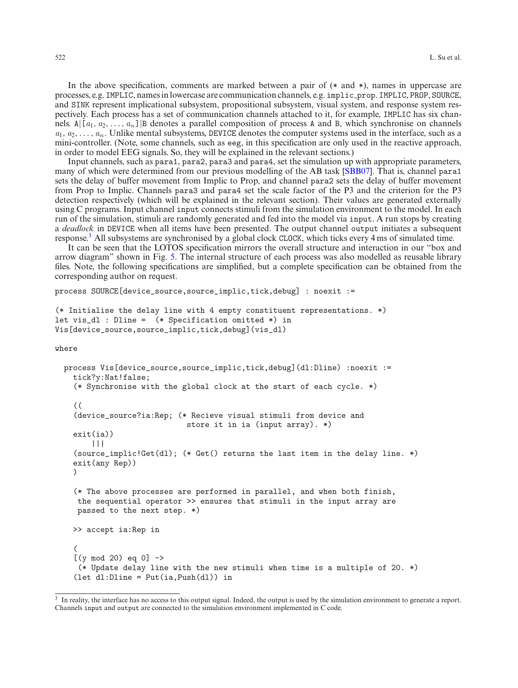In the above specification, comments are marked between a pair of  $(*$  and  $*)$ , names in uppercase are processes, e.g. IMPLIC, names in lowercase are communication channels, e.g. implic prop. IMPLIC, PROP, SOURCE, and SINK represent implicational subsystem, propositional subsystem, visual system, and response system respectively. Each process has a set of communication channels attached to it, for example, IMPLIC has six channels.  $A | [a_1, a_2, \ldots, a_n] | B$  denotes a parallel composition of process A and B, which synchronise on channels  $a_1, a_2, \ldots, a_n$ . Unlike mental subsystems, DEVICE denotes the computer systems used in the interface, such as a mini-controller. (Note, some channels, such as eeg, in this specification are only used in the reactive approach, in order to model EEG signals. So, they will be explained in the relevant sections.)

Input channels, such as para1, para2, para3 and para4, set the simulation up with appropriate parameters, many of which were determined from our previous modelling of the AB task [SBB07]. That is, channel para1 sets the delay of buffer movement from Implic to Prop, and channel para2 sets the delay of buffer movement from Prop to Implic. Channels para3 and para4 set the scale factor of the P3 and the criterion for the P3 detection respectively (which will be explained in the relevant section). Their values are generated externally using C programs. Input channel input connects stimuli from the simulation environment to the model. In each run of the simulation, stimuli are randomly generated and fed into the model via input. A run stops by creating a *deadlock* in DEVICE when all items have been presented. The output channel output initiates a subsequent response.<sup>3</sup> All subsystems are synchronised by a global clock CLOCK, which ticks every 4 ms of simulated time.

It can be seen that the LOTOS specification mirrors the overall structure and interaction in our "box and arrow diagram" shown in Fig. 5. The internal structure of each process was also modelled as reusable library files. Note, the following specifications are simplified, but a complete specification can be obtained from the corresponding author on request.

```
process SOURCE[device_source,source_implic,tick,debug] : noexit :=
```

```
(* Initialise the delay line with 4 empty constituent representations. *)
let vis_dl : Dline = (* Specification omitted *) in
Vis[device_source,source_implic,tick,debug](vis_dl)
```
where

```
process Vis[device_source,source_implic,tick,debug](dl:Dline) :noexit :=
  tick?y:Nat!false;
  (* Synchronise with the global clock at the start of each cycle. *)
  ((
  (device_source?ia:Rep; (* Recieve visual stimuli from device and
                            store it in ia (input array). *)
  exit(ia))
      |||
  (source_implic!Get(dl); (* Get() returns the last item in the delay line. *)
  exit(any Rep))
  )
  (* The above processes are performed in parallel, and when both finish,
  the sequential operator >> ensures that stimuli in the input array are
  passed to the next step. *)
  >> accept ia:Rep in
  (
  [(y \mod 20) \text{ eq } 0] ->
   (* Update delay line with the new stimuli when time is a multiple of 20. *)
  (let dl:Dline = Put(ia,Push(dl)) in
```
<sup>&</sup>lt;sup>3</sup> In reality, the interface has no access to this output signal. Indeed, the output is used by the simulation environment to generate a report. Channels input and output are connected to the simulation environment implemented in C code.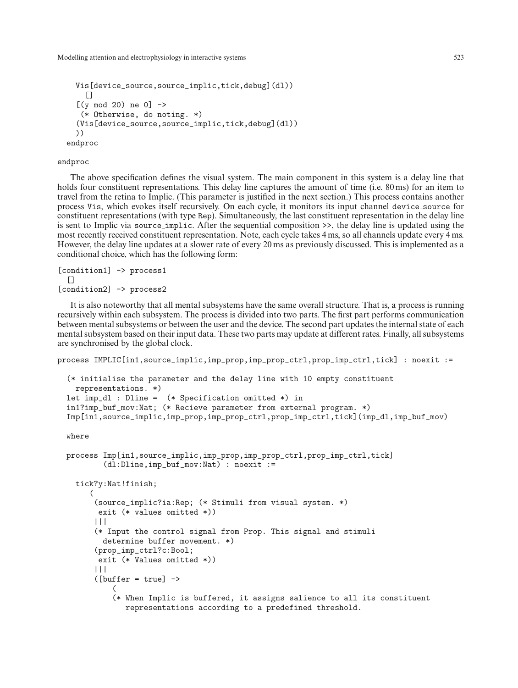Modelling attention and electrophysiology in interactive systems 523

```
Vis[device_source,source_implic,tick,debug](dl))
    [[(y \mod 20) \neq 0] ->
   (* Otherwise, do noting. *)
  (Vis[device_source,source_implic,tick,debug](dl))
  ))
endproc
```
endproc

The above specification defines the visual system. The main component in this system is a delay line that holds four constituent representations. This delay line captures the amount of time (i.e. 80 ms) for an item to travel from the retina to Implic. (This parameter is justified in the next section.) This process contains another process Vis, which evokes itself recursively. On each cycle, it monitors its input channel device source for constituent representations (with type Rep). Simultaneously, the last constituent representation in the delay line is sent to Implic via source implic. After the sequential composition >>, the delay line is updated using the most recently received constituent representation. Note, each cycle takes 4 ms, so all channels update every 4 ms. However, the delay line updates at a slower rate of every 20 ms as previously discussed. This is implemented as a conditional choice, which has the following form:

```
[condition1] -> process1
 []
[condition2] -> process2
```
It is also noteworthy that all mental subsystems have the same overall structure. That is, a process is running recursively within each subsystem. The process is divided into two parts. The first part performs communication between mental subsystems or between the user and the device. The second part updates the internal state of each mental subsystem based on their input data. These two parts may update at different rates. Finally, all subsystems are synchronised by the global clock.

process IMPLIC[in1,source\_implic,imp\_prop,imp\_prop\_ctrl,prop\_imp\_ctrl,tick] : noexit :=

```
(* initialise the parameter and the delay line with 10 empty constituent
  representations. *)
let imp_dl : Dline = (* Specification omitted *) in
in1?imp_buf_mov:Nat; (* Recieve parameter from external program. *)
Imp[in1,source_implic,imp_prop,imp_prop_ctrl,prop_imp_ctrl,tick](imp_dl,imp_buf_mov)
where
process Imp[in1,source_implic,imp_prop,imp_prop_ctrl,prop_imp_ctrl,tick]
        (dl:Dline,imp_buf_mov:Nat) : noexit :=
  tick?y:Nat!finish;
     (
      (source_implic?ia:Rep; (* Stimuli from visual system. *)
       exit (* values omitted *))
      |||
      (* Input the control signal from Prop. This signal and stimuli
        determine buffer movement. *)
      (prop_imp_ctrl?c:Bool;
       exit (* Values omitted *))
      ||([buffer = true] ->
          (
          (* When Implic is buffered, it assigns salience to all its constituent
             representations according to a predefined threshold.
```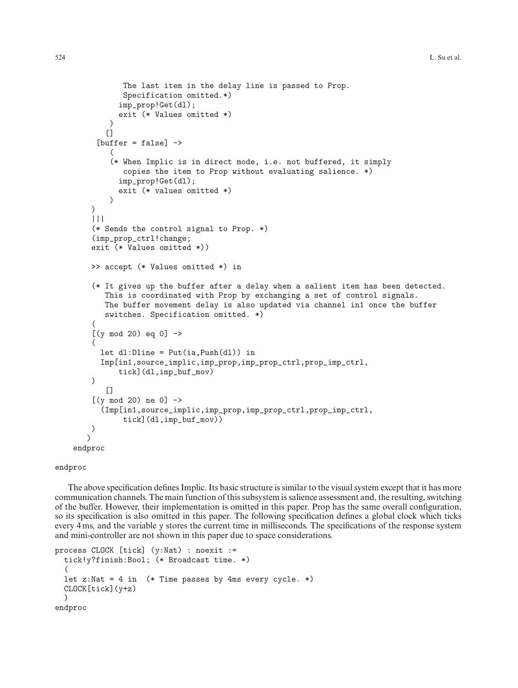```
The last item in the delay line is passed to Prop.
           Specification omitted.*)
          imp_prop!Get(dl);
          exit (* Values omitted *)
        \lambda[[buster = false] ->
        (
        (* When Implic is in direct mode, i.e. not buffered, it simply
           copies the item to Prop without evaluating salience. *)
          imp_prop!Get(dl);
          exit (* values omitted *)
        \lambda)
    |||
    (* Sends the control signal to Prop. *)
    (imp_prop_ctrl!change;
    exit (* Values omitted *))
    >> accept (* Values omitted *) in
    (* It gives up the buffer after a delay when a salient item has been detected.
       This is coordinated with Prop by exchanging a set of control signals.
       The buffer movement delay is also updated via channel in1 once the buffer
       switches. Specification omitted. *)
    (
    [(y \mod 20) \text{ eq } 0] ->
    (
      let dl: Dline = Put(ia, Push(d1)) in
      Imp[in1,source_implic,imp_prop,imp_prop_ctrl,prop_imp_ctrl,
          tick](dl,imp_buf_mov)
    )
       \lceil[(y \mod 20) \text{ ne } 0] ->
      (Imp[in1,source_implic,imp_prop,imp_prop_ctrl,prop_imp_ctrl,
           tick](dl,imp_buf_mov))
    )
   )
endproc
```
#### endproc

The above specification defines Implic. Its basic structure is similar to the visual system except that it has more communication channels. The main function of this subsystem is salience assessment and, the resulting, switching of the buffer. However, their implementation is omitted in this paper. Prop has the same overall configuration, so its specification is also omitted in this paper. The following specification defines a global clock which ticks every 4 ms, and the variable y stores the current time in milliseconds. The specifications of the response system and mini-controller are not shown in this paper due to space considerations.

```
process CLOCK [tick] (y:Nat) : noexit :=
  tick!y?finish:Bool; (* Broadcast time. *)
  (
  let z:Nat = 4 in (* Time passes by 4ms every cycle. *)
  CLOCK[tick](y+z)
  \lambdaendproc
```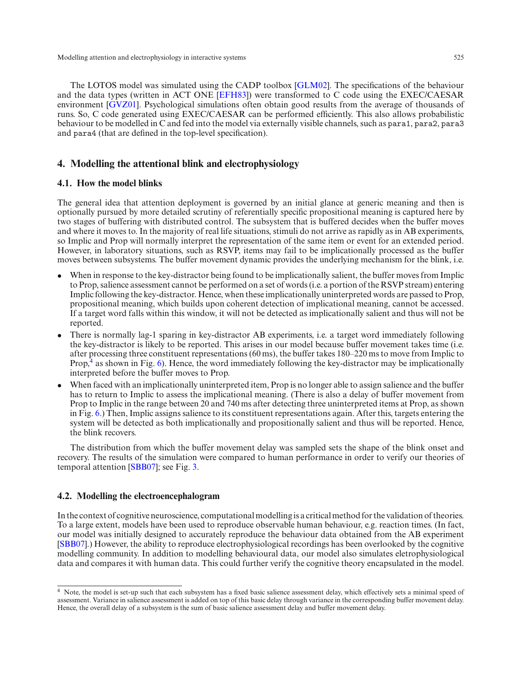The LOTOS model was simulated using the CADP toolbox [GLM02]. The specifications of the behaviour and the data types (written in ACT ONE [EFH83]) were transformed to C code using the EXEC/CAESAR environment [GVZ01]. Psychological simulations often obtain good results from the average of thousands of runs. So, C code generated using EXEC/CAESAR can be performed efficiently. This also allows probabilistic behaviour to be modelled in C and fed into the model via externally visible channels, such as para1, para2, para3 and para4 (that are defined in the top-level specification).

#### **4. Modelling the attentional blink and electrophysiology**

#### **4.1. How the model blinks**

The general idea that attention deployment is governed by an initial glance at generic meaning and then is optionally pursued by more detailed scrutiny of referentially specific propositional meaning is captured here by two stages of buffering with distributed control. The subsystem that is buffered decides when the buffer moves and where it moves to. In the majority of real life situations, stimuli do not arrive as rapidly as in AB experiments, so Implic and Prop will normally interpret the representation of the same item or event for an extended period. However, in laboratory situations, such as RSVP, items may fail to be implicationally processed as the buffer moves between subsystems. The buffer movement dynamic provides the underlying mechanism for the blink, i.e.

- When in response to the key-distractor being found to be implicationally salient, the buffer moves from Implic to Prop, salience assessment cannot be performed on a set of words (i.e. a portion of the RSVP stream) entering Implic following the key-distractor. Hence, when these implicationally uninterpreted words are passed to Prop, propositional meaning, which builds upon coherent detection of implicational meaning, cannot be accessed. If a target word falls within this window, it will not be detected as implicationally salient and thus will not be reported.
- There is normally lag-1 sparing in key-distractor AB experiments, i.e. a target word immediately following the key-distractor is likely to be reported. This arises in our model because buffer movement takes time (i.e. after processing three constituent representations (60 ms), the buffer takes 180–220 ms to move from Implic to Prop, $4$  as shown in Fig. 6). Hence, the word immediately following the key-distractor may be implicationally interpreted before the buffer moves to Prop.
- When faced with an implicationally uninterpreted item, Prop is no longer able to assign salience and the buffer has to return to Implic to assess the implicational meaning. (There is also a delay of buffer movement from Prop to Implic in the range between 20 and 740 ms after detecting three uninterpreted items at Prop, as shown in Fig. 6.) Then, Implic assigns salience to its constituent representations again. After this, targets entering the system will be detected as both implicationally and propositionally salient and thus will be reported. Hence, the blink recovers.

The distribution from which the buffer movement delay was sampled sets the shape of the blink onset and recovery. The results of the simulation were compared to human performance in order to verify our theories of temporal attention [SBB07]; see Fig. 3.

#### **4.2. Modelling the electroencephalogram**

In the context of cognitive neuroscience, computational modelling is a critical method for the validation of theories. To a large extent, models have been used to reproduce observable human behaviour, e.g. reaction times. (In fact, our model was initially designed to accurately reproduce the behaviour data obtained from the AB experiment [SBB07].) However, the ability to reproduce electrophysiological recordings has been overlooked by the cognitive modelling community. In addition to modelling behavioural data, our model also simulates eletrophysiological data and compares it with human data. This could further verify the cognitive theory encapsulated in the model.

<sup>&</sup>lt;sup>4</sup> Note, the model is set-up such that each subsystem has a fixed basic salience assessment delay, which effectively sets a minimal speed of assessment. Variance in salience assessment is added on top of this basic delay through variance in the corresponding buffer movement delay. Hence, the overall delay of a subsystem is the sum of basic salience assessment delay and buffer movement delay.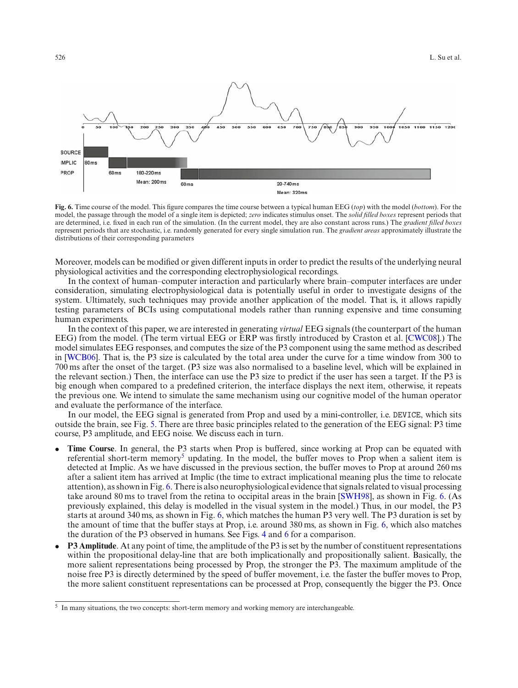

**Fig. 6.** Time course of the model. This figure compares the time course between a typical human EEG (*top*) with the model (*bottom*). For the model, the passage through the model of a single item is depicted; *zero* indicates stimulus onset. The *solid filled boxes* represent periods that are determined, i.e. fixed in each run of the simulation. (In the current model, they are also constant across runs.) The *gradient filled boxes* represent periods that are stochastic, i.e. randomly generated for every single simulation run. The *gradient areas* approximately illustrate the distributions of their corresponding parameters

Moreover, models can be modified or given different inputs in order to predict the results of the underlying neural physiological activities and the corresponding electrophysiological recordings.

In the context of human–computer interaction and particularly where brain–computer interfaces are under consideration, simulating electrophysiological data is potentially useful in order to investigate designs of the system. Ultimately, such techniques may provide another application of the model. That is, it allows rapidly testing parameters of BCIs using computational models rather than running expensive and time consuming human experiments.

In the context of this paper, we are interested in generating *virtual* EEG signals (the counterpart of the human EEG) from the model. (The term virtual EEG or ERP was firstly introduced by Craston et al. [CWC08].) The model simulates EEG responses, and computes the size of the P3 component using the same method as described in [WCB06]. That is, the P3 size is calculated by the total area under the curve for a time window from 300 to 700 ms after the onset of the target. (P3 size was also normalised to a baseline level, which will be explained in the relevant section.) Then, the interface can use the P3 size to predict if the user has seen a target. If the P3 is big enough when compared to a predefined criterion, the interface displays the next item, otherwise, it repeats the previous one. We intend to simulate the same mechanism using our cognitive model of the human operator and evaluate the performance of the interface.

In our model, the EEG signal is generated from Prop and used by a mini-controller, i.e. DEVICE, which sits outside the brain, see Fig. 5. There are three basic principles related to the generation of the EEG signal: P3 time course, P3 amplitude, and EEG noise. We discuss each in turn.

- **Time Course**. In general, the P3 starts when Prop is buffered, since working at Prop can be equated with referential short-term memory<sup>5</sup> updating. In the model, the buffer moves to Prop when a salient item is detected at Implic. As we have discussed in the previous section, the buffer moves to Prop at around 260 ms after a salient item has arrived at Implic (the time to extract implicational meaning plus the time to relocate attention), as shown in Fig. 6. There is also neurophysiological evidence that signals related to visual processing take around 80 ms to travel from the retina to occipital areas in the brain [SWH98], as shown in Fig. 6. (As previously explained, this delay is modelled in the visual system in the model.) Thus, in our model, the P3 starts at around 340 ms, as shown in Fig. 6, which matches the human P3 very well. The P3 duration is set by the amount of time that the buffer stays at Prop, i.e. around 380 ms, as shown in Fig. 6, which also matches the duration of the P3 observed in humans. See Figs. 4 and 6 for a comparison.
- **P3 Amplitude**. At any point of time, the amplitude of the P3 is set by the number of constituent representations within the propositional delay-line that are both implicationally and propositionally salient. Basically, the more salient representations being processed by Prop, the stronger the P3. The maximum amplitude of the noise free P3 is directly determined by the speed of buffer movement, i.e. the faster the buffer moves to Prop, the more salient constituent representations can be processed at Prop, consequently the bigger the P3. Once

<sup>&</sup>lt;sup>5</sup> In many situations, the two concepts: short-term memory and working memory are interchangeable.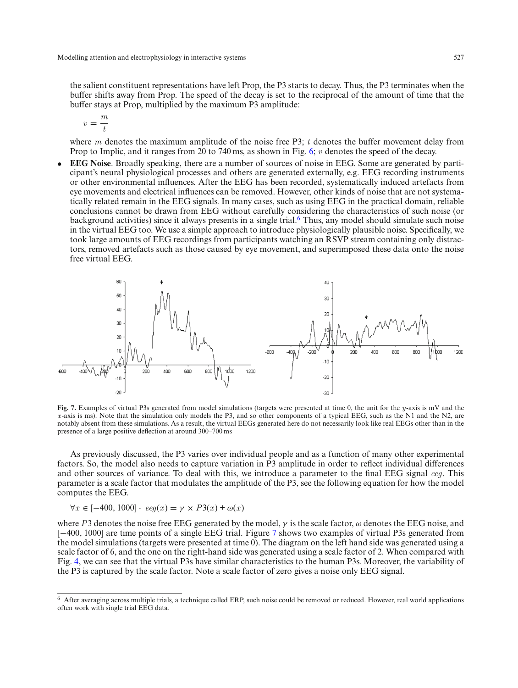the salient constituent representations have left Prop, the P3 starts to decay. Thus, the P3 terminates when the buffer shifts away from Prop. The speed of the decay is set to the reciprocal of the amount of time that the buffer stays at Prop, multiplied by the maximum P3 amplitude:

$$
v=\frac{m}{t}
$$

where *m* denotes the maximum amplitude of the noise free P3; *t* denotes the buffer movement delay from<br>Prop to Implic, and it ranges from 20 to 740 ms, as shown in Fig. 6; *n* denotes the speed of the decay Prop to Implic, and it ranges from 20 to 740 ms, as shown in Fig. 6; *v* denotes the speed of the decay.

• **EEG Noise**. Broadly speaking, there are a number of sources of noise in EEG. Some are generated by participant's neural physiological processes and others are generated externally, e.g. EEG recording instruments or other environmental influences. After the EEG has been recorded, systematically induced artefacts from eye movements and electrical influences can be removed. However, other kinds of noise that are not systematically related remain in the EEG signals. In many cases, such as using EEG in the practical domain, reliable conclusions cannot be drawn from EEG without carefully considering the characteristics of such noise (or background activities) since it always presents in a single trial.6 Thus, any model should simulate such noise in the virtual EEG too. We use a simple approach to introduce physiologically plausible noise. Specifically, we took large amounts of EEG recordings from participants watching an RSVP stream containing only distractors, removed artefacts such as those caused by eye movement, and superimposed these data onto the noise free virtual EEG.



**Fig. 7.** Examples of virtual P3s generated from model simulations (targets were presented at time 0, the unit for the *y*-axis is mV and the *x*-axis is ms). Note that the simulation only models the P3, and so other components of a typical EEG, such as the N1 and the N2, are notably absent from these simulations. As a result, the virtual EEGs generated here do not necessarily look like real EEGs other than in the presence of a large positive deflection at around 300–700 ms

As previously discussed, the P3 varies over individual people and as a function of many other experimental factors. So, the model also needs to capture variation in P3 amplitude in order to reflect individual differences and other sources of variance. To deal with this, we introduce a parameter to the final EEG signal *eeg*. This parameter is a scale factor that modulates the amplitude of the P3, see the following equation for how the model computes the EEG.

$$
\forall x \in [-400, 1000] \cdot \text{eeg}(x) = \gamma \times P3(x) + \omega(x)
$$

where *P*3 denotes the noise free EEG generated by the model,  $\gamma$  is the scale factor,  $\omega$  denotes the EEG noise, and [−400, 1000] are time points of a single EEG trial. Figure 7 shows two examples of virtual P3s generated from the model simulations (targets were presented at time 0). The diagram on the left hand side was generated using a scale factor of 6, and the one on the right-hand side was generated using a scale factor of 2. When compared with Fig. 4, we can see that the virtual P3s have similar characteristics to the human P3s. Moreover, the variability of the P3 is captured by the scale factor. Note a scale factor of zero gives a noise only EEG signal.

<sup>6</sup> After averaging across multiple trials, a technique called ERP, such noise could be removed or reduced. However, real world applications often work with single trial EEG data.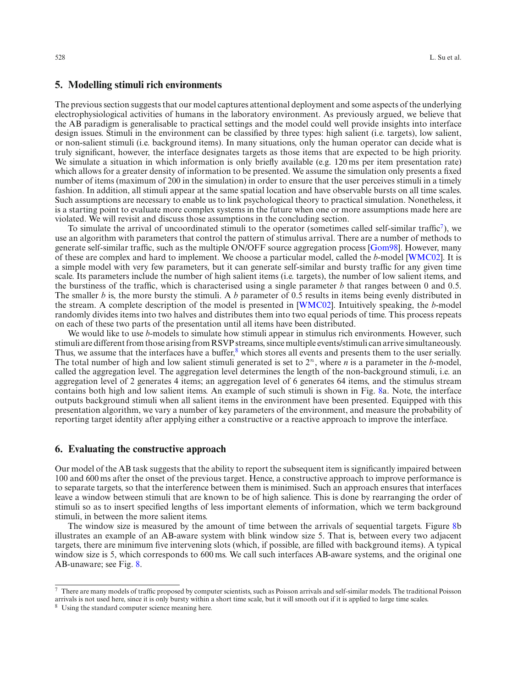#### **5. Modelling stimuli rich environments**

The previous section suggests that our model captures attentional deployment and some aspects of the underlying electrophysiological activities of humans in the laboratory environment. As previously argued, we believe that the AB paradigm is generalisable to practical settings and the model could well provide insights into interface design issues. Stimuli in the environment can be classified by three types: high salient (i.e. targets), low salient, or non-salient stimuli (i.e. background items). In many situations, only the human operator can decide what is truly significant, however, the interface designates targets as those items that are expected to be high priority. We simulate a situation in which information is only briefly available (e.g. 120 ms per item presentation rate) which allows for a greater density of information to be presented. We assume the simulation only presents a fixed number of items (maximum of 200 in the simulation) in order to ensure that the user perceives stimuli in a timely fashion. In addition, all stimuli appear at the same spatial location and have observable bursts on all time scales. Such assumptions are necessary to enable us to link psychological theory to practical simulation. Nonetheless, it is a starting point to evaluate more complex systems in the future when one or more assumptions made here are violated. We will revisit and discuss those assumptions in the concluding section.

To simulate the arrival of uncoordinated stimuli to the operator (sometimes called self-similar traffic<sup>7</sup>), we use an algorithm with parameters that control the pattern of stimulus arrival. There are a number of methods to generate self-similar traffic, such as the multiple ON/OFF source aggregation process [Gom98]. However, many of these are complex and hard to implement. We choose a particular model, called the *b*-model [WMC02]. It is a simple model with very few parameters, but it can generate self-similar and bursty traffic for any given time scale. Its parameters include the number of high salient items (i.e. targets), the number of low salient items, and the burstiness of the traffic, which is characterised using a single parameter *b* that ranges between 0 and 0.5. The smaller *b* is, the more bursty the stimuli. A *b* parameter of 0.5 results in items being evenly distributed in the stream. A complete description of the model is presented in [WMC02]. Intuitively speaking, the *b*-model randomly divides items into two halves and distributes them into two equal periods of time. This process repeats on each of these two parts of the presentation until all items have been distributed.

We would like to use *b*-models to simulate how stimuli appear in stimulus rich environments. However, such stimuli are different from those arising from RSVP streams, since multiple events/stimuli can arrive simultaneously. Thus, we assume that the interfaces have a buffer, $8$  which stores all events and presents them to the user serially. The total number of high and low salient stimuli generated is set to  $2^n$ , where *n* is a parameter in the *b*-model, called the aggregation level. The aggregation level determines the length of the non-background stimuli, i.e. an aggregation level of 2 generates 4 items; an aggregation level of 6 generates 64 items, and the stimulus stream contains both high and low salient items. An example of such stimuli is shown in Fig. 8a. Note, the interface outputs background stimuli when all salient items in the environment have been presented. Equipped with this presentation algorithm, we vary a number of key parameters of the environment, and measure the probability of reporting target identity after applying either a constructive or a reactive approach to improve the interface.

#### **6. Evaluating the constructive approach**

Our model of the AB task suggests that the ability to report the subsequent item is significantly impaired between 100 and 600 ms after the onset of the previous target. Hence, a constructive approach to improve performance is to separate targets, so that the interference between them is minimised. Such an approach ensures that interfaces leave a window between stimuli that are known to be of high salience. This is done by rearranging the order of stimuli so as to insert specified lengths of less important elements of information, which we term background stimuli, in between the more salient items.

The window size is measured by the amount of time between the arrivals of sequential targets. Figure 8b illustrates an example of an AB-aware system with blink window size 5. That is, between every two adjacent targets, there are minimum five intervening slots (which, if possible, are filled with background items). A typical window size is 5, which corresponds to 600 ms. We call such interfaces AB-aware systems, and the original one AB-unaware; see Fig. 8.

 $^7$  There are many models of traffic proposed by computer scientists, such as Poisson arrivals and self-similar models. The traditional Poisson arrivals is not used here, since it is only bursty within a short time scale, but it will smooth out if it is applied to large time scales.

<sup>&</sup>lt;sup>8</sup> Using the standard computer science meaning here.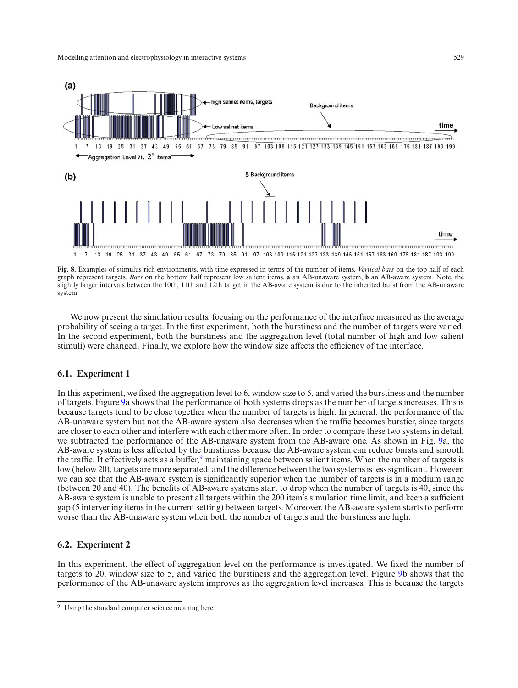Modelling attention and electrophysiology in interactive systems 529



**Fig. 8.** Examples of stimulus rich environments, with time expressed in terms of the number of items. *Vertical bars* on the top half of each graph represent targets. *Bars* on the bottom half represent low salient items. **a** an AB-unaware system, **b** an AB-aware system. Note, the slightly larger intervals between the 10th, 11th and 12th target in the AB-aware system is due to the inherited burst from the AB-unaware system

We now present the simulation results, focusing on the performance of the interface measured as the average probability of seeing a target. In the first experiment, both the burstiness and the number of targets were varied. In the second experiment, both the burstiness and the aggregation level (total number of high and low salient stimuli) were changed. Finally, we explore how the window size affects the efficiency of the interface.

#### **6.1. Experiment 1**

In this experiment, we fixed the aggregation level to 6, window size to 5, and varied the burstiness and the number of targets. Figure 9a shows that the performance of both systems drops as the number of targets increases. This is because targets tend to be close together when the number of targets is high. In general, the performance of the AB-unaware system but not the AB-aware system also decreases when the traffic becomes burstier, since targets are closer to each other and interfere with each other more often. In order to compare these two systems in detail, we subtracted the performance of the AB-unaware system from the AB-aware one. As shown in Fig. 9a, the AB-aware system is less affected by the burstiness because the AB-aware system can reduce bursts and smooth the traffic. It effectively acts as a buffer, $9$  maintaining space between salient items. When the number of targets is low (below 20), targets are more separated, and the difference between the two systems is less significant. However, we can see that the AB-aware system is significantly superior when the number of targets is in a medium range (between 20 and 40). The benefits of AB-aware systems start to drop when the number of targets is 40, since the AB-aware system is unable to present all targets within the 200 item's simulation time limit, and keep a sufficient gap (5 intervening items in the current setting) between targets. Moreover, the AB-aware system starts to perform worse than the AB-unaware system when both the number of targets and the burstiness are high.

#### **6.2. Experiment 2**

In this experiment, the effect of aggregation level on the performance is investigated. We fixed the number of targets to 20, window size to 5, and varied the burstiness and the aggregation level. Figure 9b shows that the performance of the AB-unaware system improves as the aggregation level increases. This is because the targets

<sup>&</sup>lt;sup>9</sup> Using the standard computer science meaning here.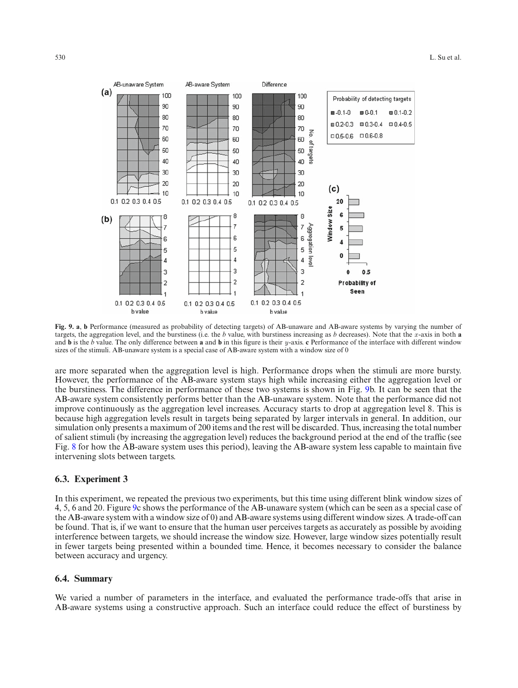

**Fig. 9. a**, **b** Performance (measured as probability of detecting targets) of AB-unaware and AB-aware systems by varying the number of targets, the aggregation level, and the burstiness (i.e. the *b* value, with burstiness increasing as *b* decreases). Note that the *x*-axis in both **a** and **b** is the *b* value. The only difference between **a** and **b** in this figure is their *y*-axis. **c** Performance of the interface with different window sizes of the stimuli. AB-unaware system is a special case of AB-aware system with a window size of 0

are more separated when the aggregation level is high. Performance drops when the stimuli are more bursty. However, the performance of the AB-aware system stays high while increasing either the aggregation level or the burstiness. The difference in performance of these two systems is shown in Fig. 9b. It can be seen that the AB-aware system consistently performs better than the AB-unaware system. Note that the performance did not improve continuously as the aggregation level increases. Accuracy starts to drop at aggregation level 8. This is because high aggregation levels result in targets being separated by larger intervals in general. In addition, our simulation only presents a maximum of 200 items and the rest will be discarded. Thus, increasing the total number of salient stimuli (by increasing the aggregation level) reduces the background period at the end of the traffic (see Fig. 8 for how the AB-aware system uses this period), leaving the AB-aware system less capable to maintain five intervening slots between targets.

#### **6.3. Experiment 3**

In this experiment, we repeated the previous two experiments, but this time using different blink window sizes of 4, 5, 6 and 20. Figure 9c shows the performance of the AB-unaware system (which can be seen as a special case of the AB-aware system with a window size of 0) and AB-aware systems using different window sizes. A trade-off can be found. That is, if we want to ensure that the human user perceives targets as accurately as possible by avoiding interference between targets, we should increase the window size. However, large window sizes potentially result in fewer targets being presented within a bounded time. Hence, it becomes necessary to consider the balance between accuracy and urgency.

#### **6.4. Summary**

We varied a number of parameters in the interface, and evaluated the performance trade-offs that arise in AB-aware systems using a constructive approach. Such an interface could reduce the effect of burstiness by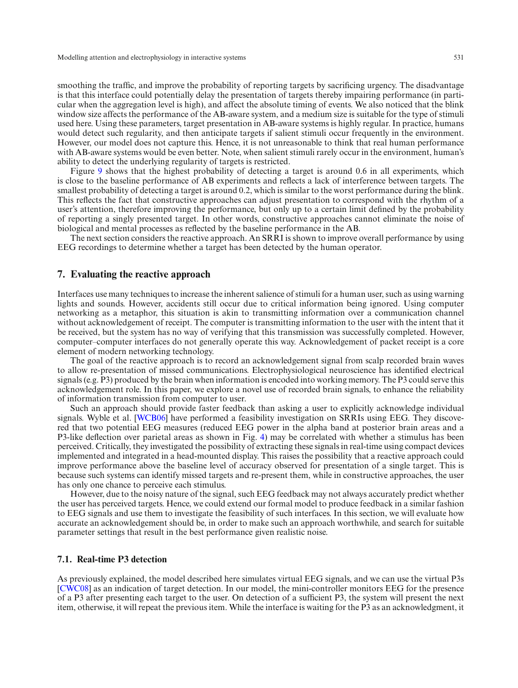smoothing the traffic, and improve the probability of reporting targets by sacrificing urgency. The disadvantage is that this interface could potentially delay the presentation of targets thereby impairing performance (in particular when the aggregation level is high), and affect the absolute timing of events. We also noticed that the blink window size affects the performance of the AB-aware system, and a medium size is suitable for the type of stimuli used here. Using these parameters, target presentation in AB-aware systems is highly regular. In practice, humans would detect such regularity, and then anticipate targets if salient stimuli occur frequently in the environment. However, our model does not capture this. Hence, it is not unreasonable to think that real human performance with AB-aware systems would be even better. Note, when salient stimuli rarely occur in the environment, human's ability to detect the underlying regularity of targets is restricted.

Figure 9 shows that the highest probability of detecting a target is around 0.6 in all experiments, which is close to the baseline performance of AB experiments and reflects a lack of interference between targets. The smallest probability of detecting a target is around 0.2, which is similar to the worst performance during the blink. This reflects the fact that constructive approaches can adjust presentation to correspond with the rhythm of a user's attention, therefore improving the performance, but only up to a certain limit defined by the probability of reporting a singly presented target. In other words, constructive approaches cannot eliminate the noise of biological and mental processes as reflected by the baseline performance in the AB.

The next section considers the reactive approach. An SRRI is shown to improve overall performance by using EEG recordings to determine whether a target has been detected by the human operator.

#### **7. Evaluating the reactive approach**

Interfaces use many techniques to increase the inherent salience of stimuli for a human user, such as using warning lights and sounds. However, accidents still occur due to critical information being ignored. Using computer networking as a metaphor, this situation is akin to transmitting information over a communication channel without acknowledgement of receipt. The computer is transmitting information to the user with the intent that it be received, but the system has no way of verifying that this transmission was successfully completed. However, computer–computer interfaces do not generally operate this way. Acknowledgement of packet receipt is a core element of modern networking technology.

The goal of the reactive approach is to record an acknowledgement signal from scalp recorded brain waves to allow re-presentation of missed communications. Electrophysiological neuroscience has identified electrical signals (e.g. P3) produced by the brain when information is encoded into working memory. The P3 could serve this acknowledgement role. In this paper, we explore a novel use of recorded brain signals, to enhance the reliability of information transmission from computer to user.

Such an approach should provide faster feedback than asking a user to explicitly acknowledge individual signals. Wyble et al. [WCB06] have performed a feasibility investigation on SRRIs using EEG. They discovered that two potential EEG measures (reduced EEG power in the alpha band at posterior brain areas and a P3-like deflection over parietal areas as shown in Fig. 4) may be correlated with whether a stimulus has been perceived. Critically, they investigated the possibility of extracting these signals in real-time using compact devices implemented and integrated in a head-mounted display. This raises the possibility that a reactive approach could improve performance above the baseline level of accuracy observed for presentation of a single target. This is because such systems can identify missed targets and re-present them, while in constructive approaches, the user has only one chance to perceive each stimulus.

However, due to the noisy nature of the signal, such EEG feedback may not always accurately predict whether the user has perceived targets. Hence, we could extend our formal model to produce feedback in a similar fashion to EEG signals and use them to investigate the feasibility of such interfaces. In this section, we will evaluate how accurate an acknowledgement should be, in order to make such an approach worthwhile, and search for suitable parameter settings that result in the best performance given realistic noise.

#### **7.1. Real-time P3 detection**

As previously explained, the model described here simulates virtual EEG signals, and we can use the virtual P3s [CWC08] as an indication of target detection. In our model, the mini-controller monitors EEG for the presence of a P3 after presenting each target to the user. On detection of a sufficient P3, the system will present the next item, otherwise, it will repeat the previous item. While the interface is waiting for the P3 as an acknowledgment, it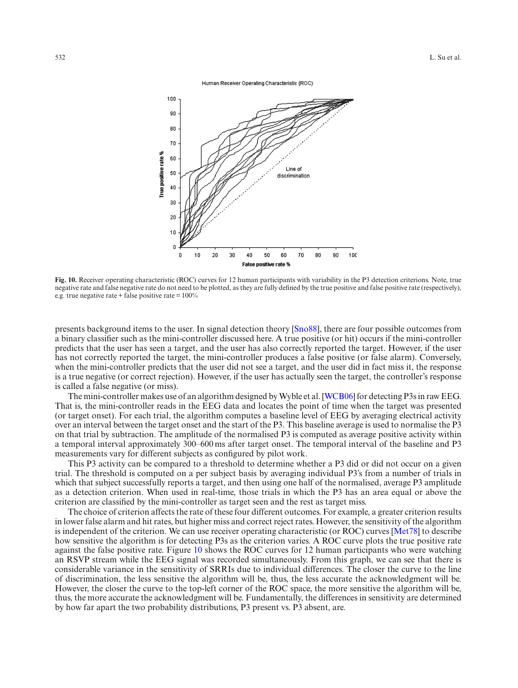Human Receiver Operating Characteristic (ROC)



**Fig. 10.** Receiver operating characteristic (ROC) curves for 12 human participants with variability in the P3 detection criterions. Note, true negative rate and false negative rate do not need to be plotted, as they are fully defined by the true positive and false positive rate (respectively), e.g. true negative rate + false positive rate =  $100\%$ 

presents background items to the user. In signal detection theory [Sno88], there are four possible outcomes from a binary classifier such as the mini-controller discussed here. A true positive (or hit) occurs if the mini-controller predicts that the user has seen a target, and the user has also correctly reported the target. However, if the user has not correctly reported the target, the mini-controller produces a false positive (or false alarm). Conversely, when the mini-controller predicts that the user did not see a target, and the user did in fact miss it, the response is a true negative (or correct rejection). However, if the user has actually seen the target, the controller's response is called a false negative (or miss).

The mini-controller makes use of an algorithm designed byWyble et al. [WCB06] for detecting P3s in raw EEG. That is, the mini-controller reads in the EEG data and locates the point of time when the target was presented (or target onset). For each trial, the algorithm computes a baseline level of EEG by averaging electrical activity over an interval between the target onset and the start of the P3. This baseline average is used to normalise the P3 on that trial by subtraction. The amplitude of the normalised P3 is computed as average positive activity within a temporal interval approximately 300–600 ms after target onset. The temporal interval of the baseline and P3 measurements vary for different subjects as configured by pilot work.

This P3 activity can be compared to a threshold to determine whether a P3 did or did not occur on a given trial. The threshold is computed on a per subject basis by averaging individual P3's from a number of trials in which that subject successfully reports a target, and then using one half of the normalised, average P3 amplitude as a detection criterion. When used in real-time, those trials in which the P3 has an area equal or above the criterion are classified by the mini-controller as target seen and the rest as target miss.

The choice of criterion affects the rate of these four different outcomes. For example, a greater criterion results in lower false alarm and hit rates, but higher miss and correct reject rates. However, the sensitivity of the algorithm is independent of the criterion. We can use receiver operating characteristic (or ROC) curves [Met78] to describe how sensitive the algorithm is for detecting P3s as the criterion varies. A ROC curve plots the true positive rate against the false positive rate. Figure 10 shows the ROC curves for 12 human participants who were watching an RSVP stream while the EEG signal was recorded simultaneously. From this graph, we can see that there is considerable variance in the sensitivity of SRRIs due to individual differences. The closer the curve to the line of discrimination, the less sensitive the algorithm will be, thus, the less accurate the acknowledgment will be. However, the closer the curve to the top-left corner of the ROC space, the more sensitive the algorithm will be, thus, the more accurate the acknowledgment will be. Fundamentally, the differences in sensitivity are determined by how far apart the two probability distributions, P3 present vs. P3 absent, are.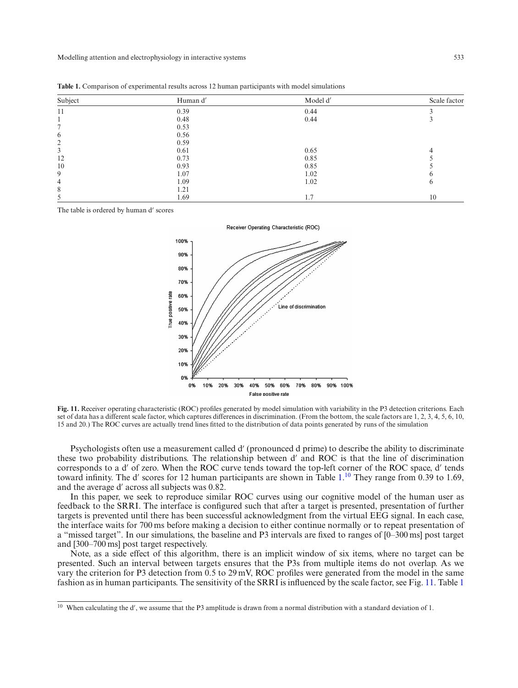| Subject        | Human d' | Model d' | Scale factor |
|----------------|----------|----------|--------------|
| 11             | 0.39     | 0.44     |              |
|                | 0.48     | 0.44     |              |
|                | 0.53     |          |              |
| 6              | 0.56     |          |              |
| $\overline{2}$ | 0.59     |          |              |
| 3              | 0.61     | 0.65     |              |
| 12             | 0.73     | 0.85     |              |
| 10             | 0.93     | 0.85     |              |
| 9              | 1.07     | 1.02     |              |
| 4              | 1.09     | 1.02     |              |
| 8              | 1.21     |          |              |
|                | 1.69     | 1.7      | 10           |

**Table 1.** Comparison of experimental results across 12 human participants with model simulations

The table is ordered by human d' scores



Fig. 11. Receiver operating characteristic (ROC) profiles generated by model simulation with variability in the P3 detection criterions. Each set of data has a different scale factor, which captures differences in discrimination. (From the bottom, the scale factors are 1, 2, 3, 4, 5, 6, 10, 15 and 20.) The ROC curves are actually trend lines fitted to the distribution of data points generated by runs of the simulation

Psychologists often use a measurement called d' (pronounced d prime) to describe the ability to discriminate these two probability distributions. The relationship between d' and ROC is that the line of discrimination corresponds to a d' of zero. When the ROC curve tends toward the top-left corner of the ROC space, d' tends toward infinity. The d' scores for 12 human participants are shown in Table  $1.^{10}$  They range from 0.39 to 1.69, and the average d' across all subjects was 0.82.

In this paper, we seek to reproduce similar ROC curves using our cognitive model of the human user as feedback to the SRRI. The interface is configured such that after a target is presented, presentation of further targets is prevented until there has been successful acknowledgment from the virtual EEG signal. In each case, the interface waits for 700 ms before making a decision to either continue normally or to repeat presentation of a "missed target". In our simulations, the baseline and P3 intervals are fixed to ranges of [0–300 ms] post target and [300–700 ms] post target respectively.

Note, as a side effect of this algorithm, there is an implicit window of six items, where no target can be presented. Such an interval between targets ensures that the P3s from multiple items do not overlap. As we vary the criterion for P3 detection from 0.5 to 29 mV, ROC profiles were generated from the model in the same fashion as in human participants. The sensitivity of the SRRI is influenced by the scale factor, see Fig. 11. Table 1

 $10$  When calculating the d', we assume that the P3 amplitude is drawn from a normal distribution with a standard deviation of 1.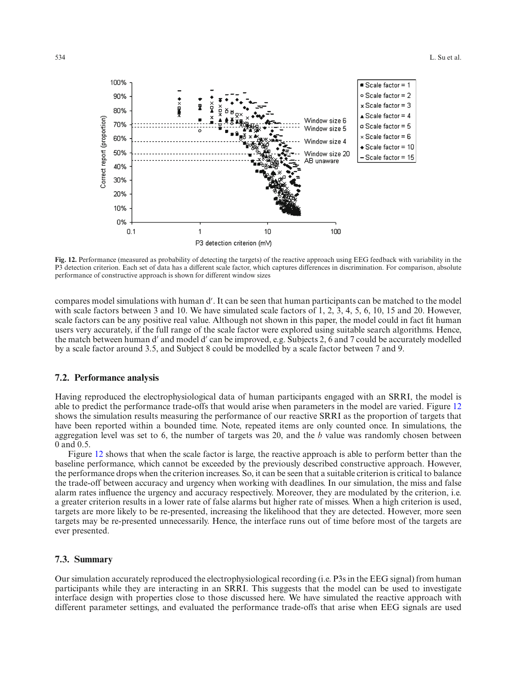

**Fig. 12.** Performance (measured as probability of detecting the targets) of the reactive approach using EEG feedback with variability in the P3 detection criterion. Each set of data has a different scale factor, which captures differences in discrimination. For comparison, absolute performance of constructive approach is shown for different window sizes

compares model simulations with human d . It can be seen that human participants can be matched to the model with scale factors between 3 and 10. We have simulated scale factors of 1, 2, 3, 4, 5, 6, 10, 15 and 20. However, scale factors can be any positive real value. Although not shown in this paper, the model could in fact fit human users very accurately, if the full range of the scale factor were explored using suitable search algorithms. Hence, the match between human d' and model d' can be improved, e.g. Subjects 2, 6 and 7 could be accurately modelled by a scale factor around 3.5, and Subject 8 could be modelled by a scale factor between 7 and 9.

#### **7.2. Performance analysis**

Having reproduced the electrophysiological data of human participants engaged with an SRRI, the model is able to predict the performance trade-offs that would arise when parameters in the model are varied. Figure 12 shows the simulation results measuring the performance of our reactive SRRI as the proportion of targets that have been reported within a bounded time. Note, repeated items are only counted once. In simulations, the aggregation level was set to 6, the number of targets was 20, and the *b* value was randomly chosen between 0 and 0.5.

Figure 12 shows that when the scale factor is large, the reactive approach is able to perform better than the baseline performance, which cannot be exceeded by the previously described constructive approach. However, the performance drops when the criterion increases. So, it can be seen that a suitable criterion is critical to balance the trade-off between accuracy and urgency when working with deadlines. In our simulation, the miss and false alarm rates influence the urgency and accuracy respectively. Moreover, they are modulated by the criterion, i.e. a greater criterion results in a lower rate of false alarms but higher rate of misses. When a high criterion is used, targets are more likely to be re-presented, increasing the likelihood that they are detected. However, more seen targets may be re-presented unnecessarily. Hence, the interface runs out of time before most of the targets are ever presented.

#### **7.3. Summary**

Our simulation accurately reproduced the electrophysiological recording (i.e. P3s in the EEG signal) from human participants while they are interacting in an SRRI. This suggests that the model can be used to investigate interface design with properties close to those discussed here. We have simulated the reactive approach with different parameter settings, and evaluated the performance trade-offs that arise when EEG signals are used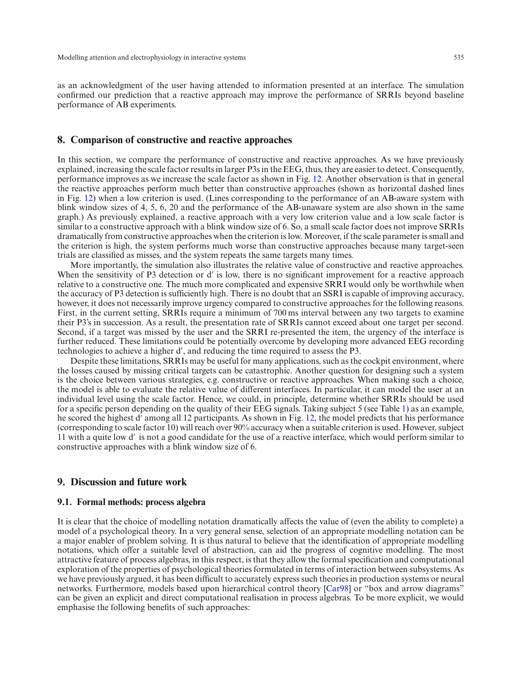as an acknowledgment of the user having attended to information presented at an interface. The simulation confirmed our prediction that a reactive approach may improve the performance of SRRIs beyond baseline performance of AB experiments.

#### **8. Comparison of constructive and reactive approaches**

In this section, we compare the performance of constructive and reactive approaches. As we have previously explained, increasing the scale factor results in larger P3s in the EEG, thus, they are easier to detect. Consequently, performance improves as we increase the scale factor as shown in Fig. 12. Another observation is that in general the reactive approaches perform much better than constructive approaches (shown as horizontal dashed lines in Fig. 12) when a low criterion is used. (Lines corresponding to the performance of an AB-aware system with blink window sizes of 4, 5, 6, 20 and the performance of the AB-unaware system are also shown in the same graph.) As previously explained, a reactive approach with a very low criterion value and a low scale factor is similar to a constructive approach with a blink window size of 6. So, a small scale factor does not improve SRRIs dramatically from constructive approaches when the criterion is low. Moreover, if the scale parameter is small and the criterion is high, the system performs much worse than constructive approaches because many target-seen trials are classified as misses, and the system repeats the same targets many times.

More importantly, the simulation also illustrates the relative value of constructive and reactive approaches. When the sensitivity of P3 detection or  $d'$  is low, there is no significant improvement for a reactive approach relative to a constructive one. The much more complicated and expensive SRRI would only be worthwhile when the accuracy of P3 detection is sufficiently high. There is no doubt that an SSRI is capable of improving accuracy, however, it does not necessarily improve urgency compared to constructive approaches for the following reasons. First, in the current setting, SRRIs require a minimum of 700 ms interval between any two targets to examine their P3's in succession. As a result, the presentation rate of SRRIs cannot exceed about one target per second. Second, if a target was missed by the user and the SRRI re-presented the item, the urgency of the interface is further reduced. These limitations could be potentially overcome by developing more advanced EEG recording technologies to achieve a higher d , and reducing the time required to assess the P3.

Despite these limitations, SRRIs may be useful for many applications, such as the cockpit environment, where the losses caused by missing critical targets can be catastrophic. Another question for designing such a system is the choice between various strategies, e.g. constructive or reactive approaches. When making such a choice, the model is able to evaluate the relative value of different interfaces. In particular, it can model the user at an individual level using the scale factor. Hence, we could, in principle, determine whether SRRIs should be used for a specific person depending on the quality of their EEG signals. Taking subject 5 (see Table 1) as an example, he scored the highest d'among all 12 participants. As shown in Fig. 12, the model predicts that his performance (corresponding to scale factor 10) will reach over 90% accuracy when a suitable criterion is used. However, subject 11 with a quite low d' is not a good candidate for the use of a reactive interface, which would perform similar to constructive approaches with a blink window size of 6.

#### **9. Discussion and future work**

#### **9.1. Formal methods: process algebra**

It is clear that the choice of modelling notation dramatically affects the value of (even the ability to complete) a model of a psychological theory. In a very general sense, selection of an appropriate modelling notation can be a major enabler of problem solving. It is thus natural to believe that the identification of appropriate modelling notations, which offer a suitable level of abstraction, can aid the progress of cognitive modelling. The most attractive feature of process algebras, in this respect, is that they allow the formal specification and computational exploration of the properties of psychological theories formulated in terms of interaction between subsystems. As we have previously argued, it has been difficult to accurately express such theories in production systems or neural networks. Furthermore, models based upon hierarchical control theory [Car98] or "box and arrow diagrams" can be given an explicit and direct computational realisation in process algebras. To be more explicit, we would emphasise the following benefits of such approaches: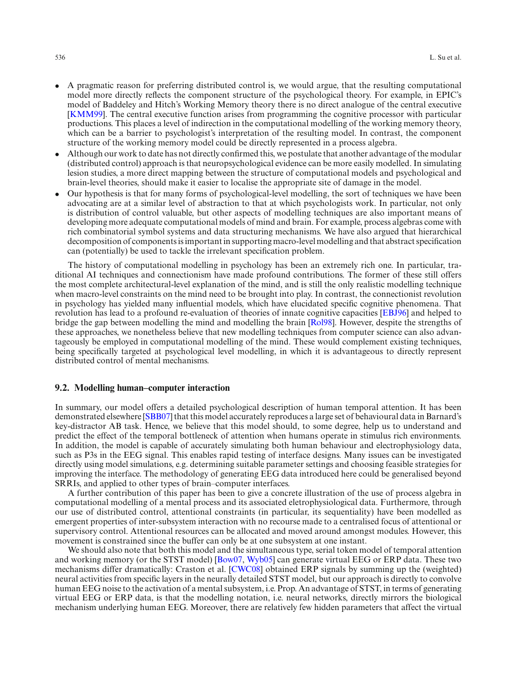- A pragmatic reason for preferring distributed control is, we would argue, that the resulting computational model more directly reflects the component structure of the psychological theory. For example, in EPIC's model of Baddeley and Hitch's Working Memory theory there is no direct analogue of the central executive [KMM99]. The central executive function arises from programming the cognitive processor with particular productions. This places a level of indirection in the computational modelling of the working memory theory, which can be a barrier to psychologist's interpretation of the resulting model. In contrast, the component structure of the working memory model could be directly represented in a process algebra.
- Although our work to date has not directly confirmed this, we postulate that another advantage of the modular (distributed control) approach is that neuropsychological evidence can be more easily modelled. In simulating lesion studies, a more direct mapping between the structure of computational models and psychological and brain-level theories, should make it easier to localise the appropriate site of damage in the model.
- Our hypothesis is that for many forms of psychological-level modelling, the sort of techniques we have been advocating are at a similar level of abstraction to that at which psychologists work. In particular, not only is distribution of control valuable, but other aspects of modelling techniques are also important means of developing more adequate computational models of mind and brain. For example, process algebras come with rich combinatorial symbol systems and data structuring mechanisms. We have also argued that hierarchical decomposition of components is important in supporting macro-level modelling and that abstract specification can (potentially) be used to tackle the irrelevant specification problem.

The history of computational modelling in psychology has been an extremely rich one. In particular, traditional AI techniques and connectionism have made profound contributions. The former of these still offers the most complete architectural-level explanation of the mind, and is still the only realistic modelling technique when macro-level constraints on the mind need to be brought into play. In contrast, the connectionist revolution in psychology has yielded many influential models, which have elucidated specific cognitive phenomena. That revolution has lead to a profound re-evaluation of theories of innate cognitive capacities [EBJ96] and helped to bridge the gap between modelling the mind and modelling the brain [Rol98]. However, despite the strengths of these approaches, we nonetheless believe that new modelling techniques from computer science can also advantageously be employed in computational modelling of the mind. These would complement existing techniques, being specifically targeted at psychological level modelling, in which it is advantageous to directly represent distributed control of mental mechanisms.

#### **9.2. Modelling human–computer interaction**

In summary, our model offers a detailed psychological description of human temporal attention. It has been demonstrated elsewhere [SBB07] that this model accurately reproduces a large set of behavioural data in Barnard's key-distractor AB task. Hence, we believe that this model should, to some degree, help us to understand and predict the effect of the temporal bottleneck of attention when humans operate in stimulus rich environments. In addition, the model is capable of accurately simulating both human behaviour and electrophysiology data, such as P3s in the EEG signal. This enables rapid testing of interface designs. Many issues can be investigated directly using model simulations, e.g. determining suitable parameter settings and choosing feasible strategies for improving the interface. The methodology of generating EEG data introduced here could be generalised beyond SRRIs, and applied to other types of brain–computer interfaces.

A further contribution of this paper has been to give a concrete illustration of the use of process algebra in computational modelling of a mental process and its associated eletrophysiological data. Furthermore, through our use of distributed control, attentional constraints (in particular, its sequentiality) have been modelled as emergent properties of inter-subsystem interaction with no recourse made to a centralised focus of attentional or supervisory control. Attentional resources can be allocated and moved around amongst modules. However, this movement is constrained since the buffer can only be at one subsystem at one instant.

We should also note that both this model and the simultaneous type, serial token model of temporal attention and working memory (or the STST model) [Bow07, Wyb05] can generate virtual EEG or ERP data. These two mechanisms differ dramatically: Craston et al. [CWC08] obtained ERP signals by summing up the (weighted) neural activities from specific layers in the neurally detailed STST model, but our approach is directly to convolve human EEG noise to the activation of a mental subsystem, i.e. Prop. An advantage of STST, in terms of generating virtual EEG or ERP data, is that the modelling notation, i.e. neural networks, directly mirrors the biological mechanism underlying human EEG. Moreover, there are relatively few hidden parameters that affect the virtual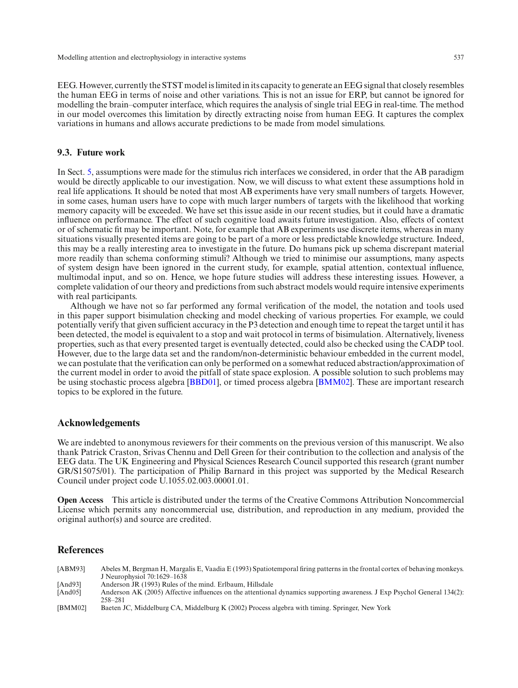EEG. However, currently the STST model is limited in its capacity to generate an EEG signal that closely resembles the human EEG in terms of noise and other variations. This is not an issue for ERP, but cannot be ignored for modelling the brain–computer interface, which requires the analysis of single trial EEG in real-time. The method in our model overcomes this limitation by directly extracting noise from human EEG. It captures the complex variations in humans and allows accurate predictions to be made from model simulations.

#### **9.3. Future work**

In Sect. 5, assumptions were made for the stimulus rich interfaces we considered, in order that the AB paradigm would be directly applicable to our investigation. Now, we will discuss to what extent these assumptions hold in real life applications. It should be noted that most AB experiments have very small numbers of targets. However, in some cases, human users have to cope with much larger numbers of targets with the likelihood that working memory capacity will be exceeded. We have set this issue aside in our recent studies, but it could have a dramatic influence on performance. The effect of such cognitive load awaits future investigation. Also, effects of context or of schematic fit may be important. Note, for example that AB experiments use discrete items, whereas in many situations visually presented items are going to be part of a more or less predictable knowledge structure. Indeed, this may be a really interesting area to investigate in the future. Do humans pick up schema discrepant material more readily than schema conforming stimuli? Although we tried to minimise our assumptions, many aspects of system design have been ignored in the current study, for example, spatial attention, contextual influence, multimodal input, and so on. Hence, we hope future studies will address these interesting issues. However, a complete validation of our theory and predictions from such abstract models would require intensive experiments with real participants.

Although we have not so far performed any formal verification of the model, the notation and tools used in this paper support bisimulation checking and model checking of various properties. For example, we could potentially verify that given sufficient accuracy in the P3 detection and enough time to repeat the target until it has been detected, the model is equivalent to a stop and wait protocol in terms of bisimulation. Alternatively, liveness properties, such as that every presented target is eventually detected, could also be checked using the CADP tool. However, due to the large data set and the random/non-deterministic behaviour embedded in the current model, we can postulate that the verification can only be performed on a somewhat reduced abstraction/approximation of the current model in order to avoid the pitfall of state space explosion. A possible solution to such problems may be using stochastic process algebra [BBD01], or timed process algebra [BMM02]. These are important research topics to be explored in the future.

#### **Acknowledgements**

We are indebted to anonymous reviewers for their comments on the previous version of this manuscript. We also thank Patrick Craston, Srivas Chennu and Dell Green for their contribution to the collection and analysis of the EEG data. The UK Engineering and Physical Sciences Research Council supported this research (grant number GR/S15075/01). The participation of Philip Barnard in this project was supported by the Medical Research Council under project code U.1055.02.003.00001.01.

**Open Access** This article is distributed under the terms of the Creative Commons Attribution Noncommercial License which permits any noncommercial use, distribution, and reproduction in any medium, provided the original author(s) and source are credited.

#### **References**

- [ABM93] Abeles M, Bergman H, Margalis E, Vaadia E (1993) Spatiotemporal firing patterns in the frontal cortex of behaving monkeys. J Neurophysiol 70:1629–1638
- [And93] Anderson JR (1993) Rules of the mind. Erlbaum, Hillsdale [And05] Anderson AK (2005) Affective influences on the attentional
- Anderson AK (2005) Affective influences on the attentional dynamics supporting awareness. J Exp Psychol General 134(2): 258–281
- [BMM02] Baeten JC, Middelburg CA, Middelburg K (2002) Process algebra with timing. Springer, New York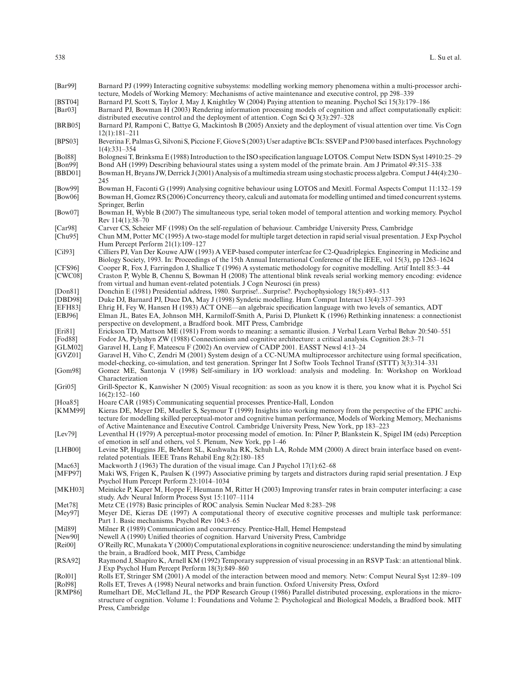| [Bar99]                     | Barnard PJ (1999) Interacting cognitive subsystems: modelling working memory phenomena within a multi-processor archi-                                                                                                                          |
|-----------------------------|-------------------------------------------------------------------------------------------------------------------------------------------------------------------------------------------------------------------------------------------------|
|                             | tecture, Models of Working Memory: Mechanisms of active maintenance and executive control, pp 298–339                                                                                                                                           |
| [BST04]                     | Barnard PJ, Scott S, Taylor J, May J, Knightley W (2004) Paying attention to meaning. Psychol Sci 15(3):179–186<br>Barnard PJ, Bowman H (2003) Rendering information processing models of cognition and affect computationally explicit:        |
| $\left[\text{Bar}03\right]$ | distributed executive control and the deployment of attention. Cogn Sci Q $3(3):297-328$                                                                                                                                                        |
| [BRB05]                     | Barnard PJ, Ramponi C, Battye G, Mackintosh B (2005) Anxiety and the deployment of visual attention over time. Vis Cogn                                                                                                                         |
|                             | $12(1):181-211$                                                                                                                                                                                                                                 |
| [BPS03]                     | Beverina F, Palmas G, Silvoni S, Piccione F, Giove S (2003) User adaptive BCIs: SSVEP and P300 based interfaces. Psychnology                                                                                                                    |
|                             | $1(4):331-354$                                                                                                                                                                                                                                  |
| [Bol88]                     | Bolognesi T, Brinksma E (1988) Introduction to the ISO specification language LOTOS. Comput Netw ISDN Syst 14910:25–29                                                                                                                          |
| [Bon99]                     | Bond AH (1999) Describing behavioural states using a system model of the primate brain. Am J Primatol 49:315–338                                                                                                                                |
| [BBD01]                     | Bowman H, Bryans JW, Derrick J (2001) Analysis of a multimedia stream using stochastic process algebra. Comput J 44(4):230–<br>245                                                                                                              |
| [Bow99]                     | Bowman H, Faconti G (1999) Analysing cognitive behaviour using LOTOS and Mexitl. Formal Aspects Comput 11:132–159                                                                                                                               |
| [bow06]                     | Bowman H, Gomez RS (2006) Concurrency theory, calculi and automata for modelling untimed and timed concurrent systems.                                                                                                                          |
|                             | Springer, Berlin                                                                                                                                                                                                                                |
| [bow07]                     | Bowman H, Wyble B (2007) The simultaneous type, serial token model of temporal attention and working memory. Psychol                                                                                                                            |
|                             | Rev $114(1):38-70$                                                                                                                                                                                                                              |
| [Car98]                     | Carver CS, Scheier MF (1998) On the self-regulation of behaviour. Cambridge University Press, Cambridge                                                                                                                                         |
| [Chu95]                     | Chun MM, Potter MC (1995) A two-stage model for multiple target detection in rapid serial visual presentation. J Exp Psychol<br>Hum Percept Perform $21(1):109-127$                                                                             |
| [Ci193]                     | Cilliers PJ, Van Der Kouwe AJW (1993) A VEP-based computer interfcae for C2-Quadriplegics. Engineering in Medicine and                                                                                                                          |
|                             | Biology Society, 1993. In: Proceedings of the 15th Annual International Conference of the IEEE, vol 15(3), pp 1263–1624                                                                                                                         |
| [CFS96]                     | Cooper R, Fox J, Farringdon J, Shallice T (1996) A systematic methodology for cognitive modelling. Artif Intell 85:3–44                                                                                                                         |
| [CWCO8]                     | Craston P, Wyble B, Chennu S, Bowman H (2008) The attentional blink reveals serial working memory encoding: evidence                                                                                                                            |
|                             | from virtual and human event-related potentials. J Cogn Neurosci (in press)                                                                                                                                                                     |
| [Don 81]                    | Donchin E (1981) Presidential address, 1980. Surprise!Surprise?. Psychophysiology 18(5):493-513                                                                                                                                                 |
| [DBD98]<br>[EFH83]          | Duke DJ, Barnard PJ, Duce DA, May J (1998) Syndetic modelling. Hum Comput Interact 13(4):337–393<br>Ehrig H, Fey W, Hansen H (1983) ACT ONE—an algebraic specification language with two levels of semantics, ADT                               |
| [EBJ96]                     | Elman JL, Bates EA, Johnson MH, Karmiloff-Smith A, Parisi D, Plunkett K (1996) Rethinking innateness: a connectionist                                                                                                                           |
|                             | perspective on development, a Bradford book. MIT Press, Cambridge                                                                                                                                                                               |
| [Eri81]                     | Erickson TD, Mattson ME (1981) From words to meaning: a semantic illusion. J Verbal Learn Verbal Behav 20:540–551                                                                                                                               |
| [Fod88]                     | Fodor JA, Pylyshyn ZW (1988) Connectionism and cognitive architecture: a critical analysis. Cognition 28:3–71                                                                                                                                   |
| [GLM02]                     | Garavel H, Lang F, Mateescu F (2002) An overview of CADP 2001. EASST Newsl 4:13-24                                                                                                                                                              |
| [GVZ01]                     | Garavel H, Viho C, Zendri M (2001) System design of a CC-NUMA multiprocessor architecture using formal specification,                                                                                                                           |
| [Gom98]                     | model-checking, co-simulation, and test generation. Springer Int J Softw Tools Technol Transf (STTT) 3(3):314–331<br>Gomez ME, Santonja V (1998) Self-similiary in I/O workload: analysis and modeling. In: Workshop on Workload                |
|                             | Characterization                                                                                                                                                                                                                                |
| [Gri05]                     | Grill-Spector K, Kanwisher N (2005) Visual recognition: as soon as you know it is there, you know what it is. Psychol Sci                                                                                                                       |
|                             | $16(2):152-160$                                                                                                                                                                                                                                 |
| [ $Hoa85$ ]                 | Hoare CAR (1985) Communicating sequential processes. Prentice-Hall, London                                                                                                                                                                      |
| [KMM99]                     | Kieras DE, Meyer DE, Mueller S, Seymour T (1999) Insights into working memory from the perspective of the EPIC archi-                                                                                                                           |
|                             | tecture for modelling skilled perceptual-motor and cognitive human performance, Models of Working Memory, Mechanisms<br>of Active Maintenance and Executive Control. Cambridge University Press, New York, pp 183–223                           |
| [Lev79]                     | Leventhal H (1979) A perceptual-motor processing model of emotion. In: Pilner P, Blankstein K, Spigel IM (eds) Perception                                                                                                                       |
|                             | of emotion in self and others, vol 5. Plenum, New York, pp 1–46                                                                                                                                                                                 |
| [LHB00]                     | Levine SP, Huggins JE, BeMent SL, Kushwaha RK, Schuh LA, Rohde MM (2000) A direct brain interface based on event-                                                                                                                               |
|                             | related potentials. IEEE Trans Rehabil Eng 8(2):180-185                                                                                                                                                                                         |
| [Mac63]                     | Mackworth J (1963) The duration of the visual image. Can J Paychol $17(1)$ :62–68                                                                                                                                                               |
| [MFP97]                     | Maki WS, Frigen K, Paulsen K (1997) Associative priming by targets and distractors during rapid serial presentation. J Exp                                                                                                                      |
| [MKH03]                     | Psychol Hum Percept Perform 23:1014–1034<br>Meinicke P, Kaper M, Hoppe F, Heumann M, Ritter H (2003) Improving transfer rates in brain computer interfacing: a case                                                                             |
|                             | study. Adv Neural Inform Process Syst 15:1107-1114                                                                                                                                                                                              |
| [Met78]                     | Metz CE (1978) Basic principles of ROC analysis. Semin Nuclear Med 8:283-298                                                                                                                                                                    |
| [Mey97]                     | Meyer DE, Kieras DE (1997) A computational theory of executive cognitive processes and multiple task performance:                                                                                                                               |
|                             | Part 1. Basic mechanisms. Psychol Rev 104:3-65                                                                                                                                                                                                  |
| [Mil89]                     | Milner R (1989) Communication and concurrency. Prentice-Hall, Hemel Hempstead                                                                                                                                                                   |
| [New90]<br>[Rei00]          | Newell A (1990) Unified theories of cognition. Harvard University Press, Cambridge<br>O'Reilly RC, Munakata Y (2000) Computational explorations in cognitive neuroscience: understanding the mind by simulating                                 |
|                             | the brain, a Bradford book, MIT Press, Cambidge                                                                                                                                                                                                 |
| [RSA92]                     | Raymond J, Shapiro K, Arnell KM (1992) Temporary suppression of visual processing in an RSVP Task: an attentional blink.                                                                                                                        |
|                             | J Exp Psychol Hum Percept Perform 18(3):849–860                                                                                                                                                                                                 |
| [Ro101]                     | Rolls ET, Stringer SM (2001) A model of the interaction between mood and memory. Netw: Comput Neural Syst 12:89-109                                                                                                                             |
| [Rol98]                     | Rolls ET, Treves A (1998) Neural networks and brain function. Oxford University Press, Oxford                                                                                                                                                   |
| [RMP86]                     | Rumelhart DE, McClelland JL, the PDP Research Group (1986) Parallel distributed processing, explorations in the micro-<br>structure of cognition. Volume 1: Foundations and Volume 2: Psychological and Biological Models, a Bradford book. MIT |
|                             | Press, Cambridge                                                                                                                                                                                                                                |
|                             |                                                                                                                                                                                                                                                 |